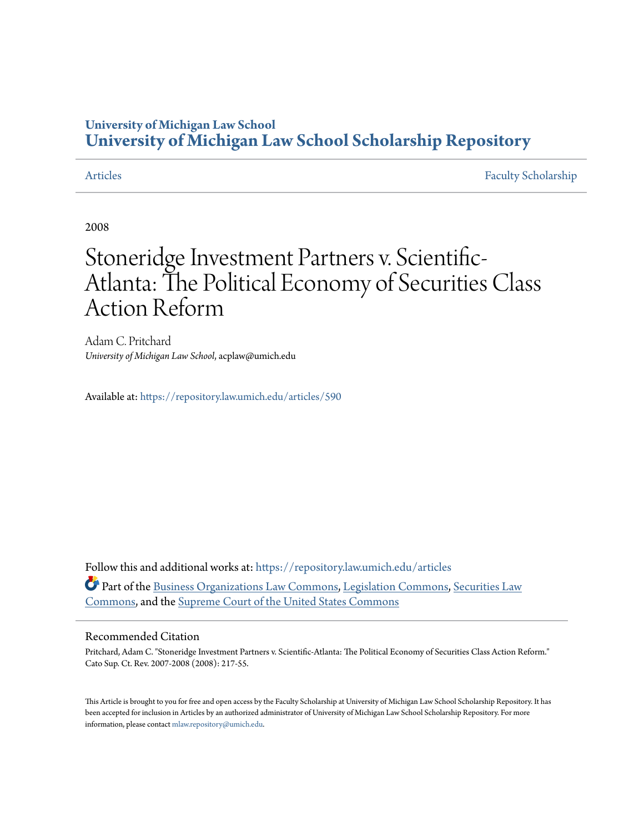## **University of Michigan Law School [University of Michigan Law School Scholarship Repository](https://repository.law.umich.edu?utm_source=repository.law.umich.edu%2Farticles%2F590&utm_medium=PDF&utm_campaign=PDFCoverPages)**

[Articles](https://repository.law.umich.edu/articles?utm_source=repository.law.umich.edu%2Farticles%2F590&utm_medium=PDF&utm_campaign=PDFCoverPages) [Faculty Scholarship](https://repository.law.umich.edu/faculty_scholarship?utm_source=repository.law.umich.edu%2Farticles%2F590&utm_medium=PDF&utm_campaign=PDFCoverPages)

2008

# Stoneridge Investment Partners v. Scientific-Atlanta: The Political Economy of Securities Class Action Reform

Adam C. Pritchard *University of Michigan Law School*, acplaw@umich.edu

Available at: <https://repository.law.umich.edu/articles/590>

Follow this and additional works at: [https://repository.law.umich.edu/articles](https://repository.law.umich.edu/articles?utm_source=repository.law.umich.edu%2Farticles%2F590&utm_medium=PDF&utm_campaign=PDFCoverPages) Part of the [Business Organizations Law Commons,](http://network.bepress.com/hgg/discipline/900?utm_source=repository.law.umich.edu%2Farticles%2F590&utm_medium=PDF&utm_campaign=PDFCoverPages) [Legislation Commons](http://network.bepress.com/hgg/discipline/859?utm_source=repository.law.umich.edu%2Farticles%2F590&utm_medium=PDF&utm_campaign=PDFCoverPages), [Securities Law](http://network.bepress.com/hgg/discipline/619?utm_source=repository.law.umich.edu%2Farticles%2F590&utm_medium=PDF&utm_campaign=PDFCoverPages) [Commons,](http://network.bepress.com/hgg/discipline/619?utm_source=repository.law.umich.edu%2Farticles%2F590&utm_medium=PDF&utm_campaign=PDFCoverPages) and the [Supreme Court of the United States Commons](http://network.bepress.com/hgg/discipline/1350?utm_source=repository.law.umich.edu%2Farticles%2F590&utm_medium=PDF&utm_campaign=PDFCoverPages)

### Recommended Citation

Pritchard, Adam C. "Stoneridge Investment Partners v. Scientific-Atlanta: The Political Economy of Securities Class Action Reform." Cato Sup. Ct. Rev. 2007-2008 (2008): 217-55.

This Article is brought to you for free and open access by the Faculty Scholarship at University of Michigan Law School Scholarship Repository. It has been accepted for inclusion in Articles by an authorized administrator of University of Michigan Law School Scholarship Repository. For more information, please contact [mlaw.repository@umich.edu.](mailto:mlaw.repository@umich.edu)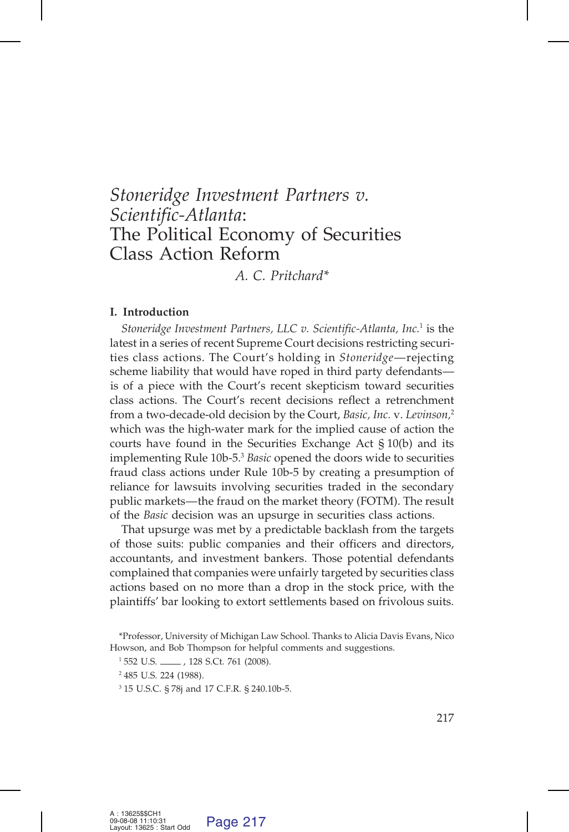# *Stoneridge Investment Partners v. Scientific-Atlanta*: The Political Economy of Securities Class Action Reform

*A. C. Pritchard\**

#### **I. Introduction**

*Stoneridge Investment Partners, LLC v. Scientific-Atlanta, Inc.*<sup>1</sup> is the latest in a series of recent Supreme Court decisions restricting securities class actions. The Court's holding in *Stoneridge*—rejecting scheme liability that would have roped in third party defendants is of a piece with the Court's recent skepticism toward securities class actions. The Court's recent decisions reflect a retrenchment from a two-decade-old decision by the Court, *Basic, Inc.* v. *Levinson,*<sup>2</sup> which was the high-water mark for the implied cause of action the courts have found in the Securities Exchange Act § 10(b) and its implementing Rule 10b-5.3 *Basic* opened the doors wide to securities fraud class actions under Rule 10b-5 by creating a presumption of reliance for lawsuits involving securities traded in the secondary public markets—the fraud on the market theory (FOTM). The result of the *Basic* decision was an upsurge in securities class actions.

That upsurge was met by a predictable backlash from the targets of those suits: public companies and their officers and directors, accountants, and investment bankers. Those potential defendants complained that companies were unfairly targeted by securities class actions based on no more than a drop in the stock price, with the plaintiffs' bar looking to extort settlements based on frivolous suits.

09-08-08 11:10:31<br>Layout: 13625 : Start Odd **Page 217** 

A : 13625\$\$CH1 09-08-08 11:10:31

<sup>\*</sup>Professor, University of Michigan Law School. Thanks to Alicia Davis Evans, Nico Howson, and Bob Thompson for helpful comments and suggestions.

 $1552$  U.S.  $\frac{128}{5}$  S.Ct. 761 (2008).

<sup>2</sup> 485 U.S. 224 (1988).

<sup>3</sup> 15 U.S.C. § 78j and 17 C.F.R. § 240.10b-5.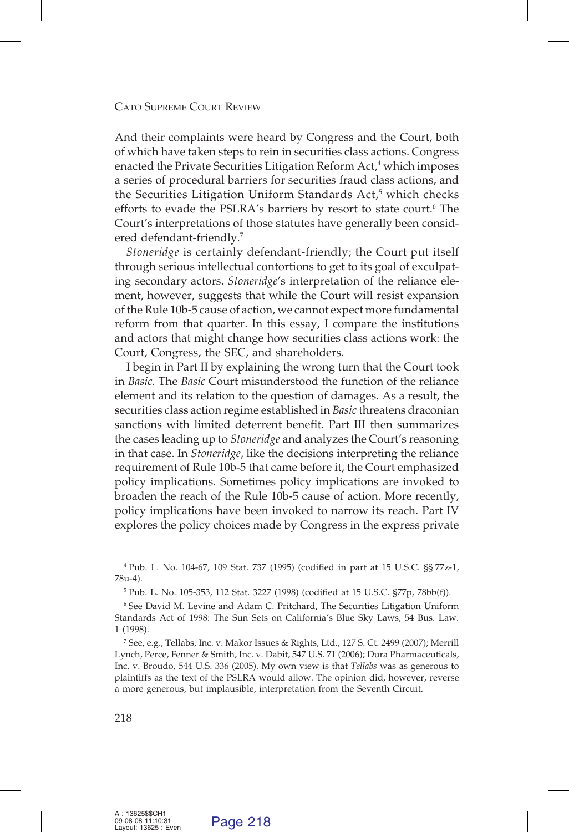And their complaints were heard by Congress and the Court, both of which have taken steps to rein in securities class actions. Congress enacted the Private Securities Litigation Reform Act, $4$  which imposes a series of procedural barriers for securities fraud class actions, and the Securities Litigation Uniform Standards Act,<sup>5</sup> which checks efforts to evade the PSLRA's barriers by resort to state court.<sup>6</sup> The Court's interpretations of those statutes have generally been considered defendant-friendly.<sup>7</sup>

*Stoneridge* is certainly defendant-friendly; the Court put itself through serious intellectual contortions to get to its goal of exculpating secondary actors. *Stoneridge*'s interpretation of the reliance element, however, suggests that while the Court will resist expansion of the Rule 10b-5 cause of action, we cannot expect more fundamental reform from that quarter. In this essay, I compare the institutions and actors that might change how securities class actions work: the Court, Congress, the SEC, and shareholders.

I begin in Part II by explaining the wrong turn that the Court took in *Basic.* The *Basic* Court misunderstood the function of the reliance element and its relation to the question of damages. As a result, the securities class action regime established in *Basic* threatens draconian sanctions with limited deterrent benefit. Part III then summarizes the cases leading up to *Stoneridge* and analyzes the Court's reasoning in that case. In *Stoneridge*, like the decisions interpreting the reliance requirement of Rule 10b-5 that came before it, the Court emphasized policy implications. Sometimes policy implications are invoked to broaden the reach of the Rule 10b-5 cause of action. More recently, policy implications have been invoked to narrow its reach. Part IV explores the policy choices made by Congress in the express private

<sup>4</sup> Pub. L. No. 104-67, 109 Stat. 737 (1995) (codified in part at 15 U.S.C. §§ 77z-1, 78u-4).

<sup>5</sup> Pub. L. No. 105-353, 112 Stat. 3227 (1998) (codified at 15 U.S.C. §77p, 78bb(f)).

<sup>6</sup> See David M. Levine and Adam C. Pritchard, The Securities Litigation Uniform Standards Act of 1998: The Sun Sets on California's Blue Sky Laws, 54 Bus. Law. 1 (1998).

<sup>7</sup> See, e.g., Tellabs, Inc. v. Makor Issues & Rights, Ltd., 127 S. Ct. 2499 (2007); Merrill Lynch, Perce, Fenner & Smith, Inc. v. Dabit, 547 U.S. 71 (2006); Dura Pharmaceuticals, Inc. v. Broudo, 544 U.S. 336 (2005). My own view is that *Tellabs* was as generous to plaintiffs as the text of the PSLRA would allow. The opinion did, however, reverse a more generous, but implausible, interpretation from the Seventh Circuit.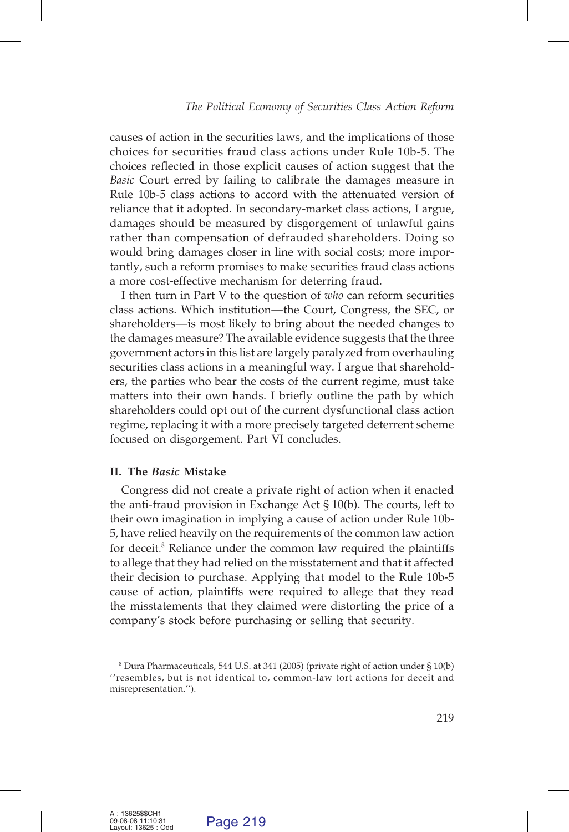causes of action in the securities laws, and the implications of those choices for securities fraud class actions under Rule 10b-5. The choices reflected in those explicit causes of action suggest that the *Basic* Court erred by failing to calibrate the damages measure in Rule 10b-5 class actions to accord with the attenuated version of reliance that it adopted. In secondary-market class actions, I argue, damages should be measured by disgorgement of unlawful gains rather than compensation of defrauded shareholders. Doing so would bring damages closer in line with social costs; more importantly, such a reform promises to make securities fraud class actions a more cost-effective mechanism for deterring fraud.

I then turn in Part V to the question of *who* can reform securities class actions. Which institution—the Court, Congress, the SEC, or shareholders—is most likely to bring about the needed changes to the damages measure? The available evidence suggests that the three government actors in this list are largely paralyzed from overhauling securities class actions in a meaningful way. I argue that shareholders, the parties who bear the costs of the current regime, must take matters into their own hands. I briefly outline the path by which shareholders could opt out of the current dysfunctional class action regime, replacing it with a more precisely targeted deterrent scheme focused on disgorgement. Part VI concludes.

#### **II. The** *Basic* **Mistake**

Congress did not create a private right of action when it enacted the anti-fraud provision in Exchange Act § 10(b). The courts, left to their own imagination in implying a cause of action under Rule 10b-5, have relied heavily on the requirements of the common law action for deceit.<sup>8</sup> Reliance under the common law required the plaintiffs to allege that they had relied on the misstatement and that it affected their decision to purchase. Applying that model to the Rule 10b-5 cause of action, plaintiffs were required to allege that they read the misstatements that they claimed were distorting the price of a company's stock before purchasing or selling that security.



<sup>8</sup> Dura Pharmaceuticals, 544 U.S. at 341 (2005) (private right of action under § 10(b) ''resembles, but is not identical to, common-law tort actions for deceit and misrepresentation.'').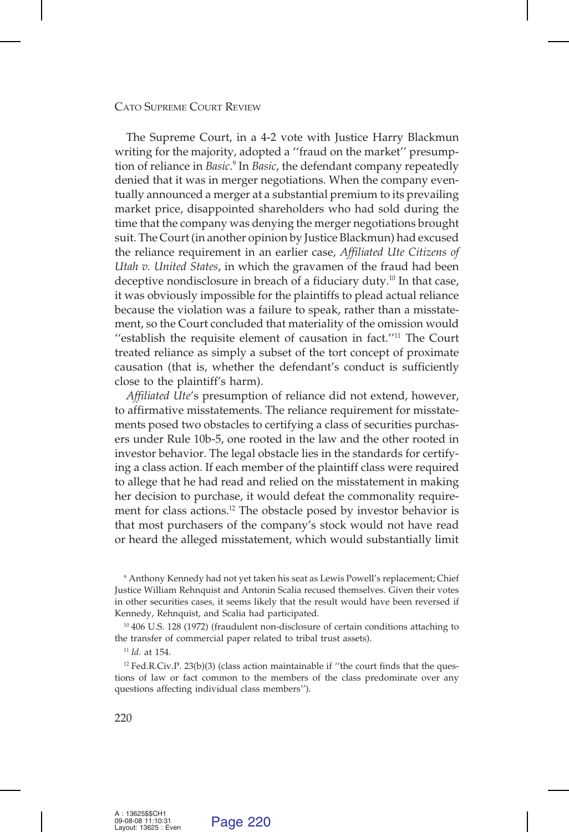The Supreme Court, in a 4-2 vote with Justice Harry Blackmun writing for the majority, adopted a ''fraud on the market'' presumption of reliance in *Basic*. <sup>9</sup> In *Basic*, the defendant company repeatedly denied that it was in merger negotiations. When the company eventually announced a merger at a substantial premium to its prevailing market price, disappointed shareholders who had sold during the time that the company was denying the merger negotiations brought suit. The Court (in another opinion by Justice Blackmun) had excused the reliance requirement in an earlier case, *Affiliated Ute Citizens of Utah v. United States*, in which the gravamen of the fraud had been deceptive nondisclosure in breach of a fiduciary duty.<sup>10</sup> In that case, it was obviously impossible for the plaintiffs to plead actual reliance because the violation was a failure to speak, rather than a misstatement, so the Court concluded that materiality of the omission would "establish the requisite element of causation in fact."<sup>11</sup> The Court treated reliance as simply a subset of the tort concept of proximate causation (that is, whether the defendant's conduct is sufficiently close to the plaintiff's harm).

*Affiliated Ute*'s presumption of reliance did not extend, however, to affirmative misstatements. The reliance requirement for misstatements posed two obstacles to certifying a class of securities purchasers under Rule 10b-5, one rooted in the law and the other rooted in investor behavior. The legal obstacle lies in the standards for certifying a class action. If each member of the plaintiff class were required to allege that he had read and relied on the misstatement in making her decision to purchase, it would defeat the commonality requirement for class actions.<sup>12</sup> The obstacle posed by investor behavior is that most purchasers of the company's stock would not have read or heard the alleged misstatement, which would substantially limit

<sup>&</sup>lt;sup>9</sup> Anthony Kennedy had not yet taken his seat as Lewis Powell's replacement; Chief Justice William Rehnquist and Antonin Scalia recused themselves. Given their votes in other securities cases, it seems likely that the result would have been reversed if Kennedy, Rehnquist, and Scalia had participated.

<sup>10</sup> 406 U.S. 128 (1972) (fraudulent non-disclosure of certain conditions attaching to the transfer of commercial paper related to tribal trust assets).

<sup>11</sup> *Id.* at 154.

 $12$  Fed.R.Civ.P. 23(b)(3) (class action maintainable if "the court finds that the questions of law or fact common to the members of the class predominate over any questions affecting individual class members'').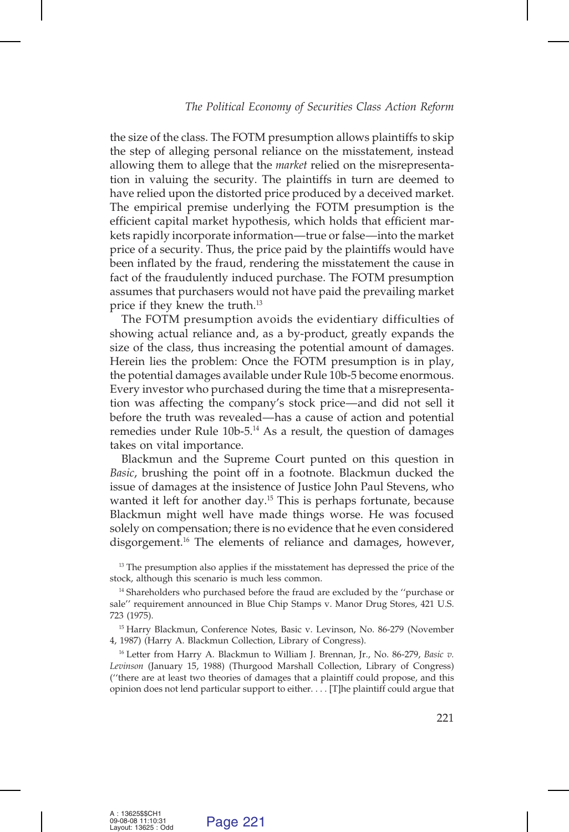the size of the class. The FOTM presumption allows plaintiffs to skip the step of alleging personal reliance on the misstatement, instead allowing them to allege that the *market* relied on the misrepresentation in valuing the security. The plaintiffs in turn are deemed to have relied upon the distorted price produced by a deceived market. The empirical premise underlying the FOTM presumption is the efficient capital market hypothesis, which holds that efficient markets rapidly incorporate information—true or false—into the market price of a security. Thus, the price paid by the plaintiffs would have been inflated by the fraud, rendering the misstatement the cause in fact of the fraudulently induced purchase. The FOTM presumption assumes that purchasers would not have paid the prevailing market price if they knew the truth.<sup>13</sup>

The FOTM presumption avoids the evidentiary difficulties of showing actual reliance and, as a by-product, greatly expands the size of the class, thus increasing the potential amount of damages. Herein lies the problem: Once the FOTM presumption is in play, the potential damages available under Rule 10b-5 become enormous. Every investor who purchased during the time that a misrepresentation was affecting the company's stock price—and did not sell it before the truth was revealed—has a cause of action and potential remedies under Rule  $10b-5$ .<sup>14</sup> As a result, the question of damages takes on vital importance.

Blackmun and the Supreme Court punted on this question in *Basic*, brushing the point off in a footnote. Blackmun ducked the issue of damages at the insistence of Justice John Paul Stevens, who wanted it left for another day.<sup>15</sup> This is perhaps fortunate, because Blackmun might well have made things worse. He was focused solely on compensation; there is no evidence that he even considered disgorgement.<sup>16</sup> The elements of reliance and damages, however,

 $13$  The presumption also applies if the misstatement has depressed the price of the stock, although this scenario is much less common.

<sup>14</sup> Shareholders who purchased before the fraud are excluded by the "purchase or sale'' requirement announced in Blue Chip Stamps v. Manor Drug Stores, 421 U.S. 723 (1975).

<sup>15</sup> Harry Blackmun, Conference Notes, Basic v. Levinson, No. 86-279 (November 4, 1987) (Harry A. Blackmun Collection, Library of Congress).

<sup>16</sup> Letter from Harry A. Blackmun to William J. Brennan, Jr., No. 86-279, *Basic v. Levinson* (January 15, 1988) (Thurgood Marshall Collection, Library of Congress) (''there are at least two theories of damages that a plaintiff could propose, and this opinion does not lend particular support to either.... [T]he plaintiff could argue that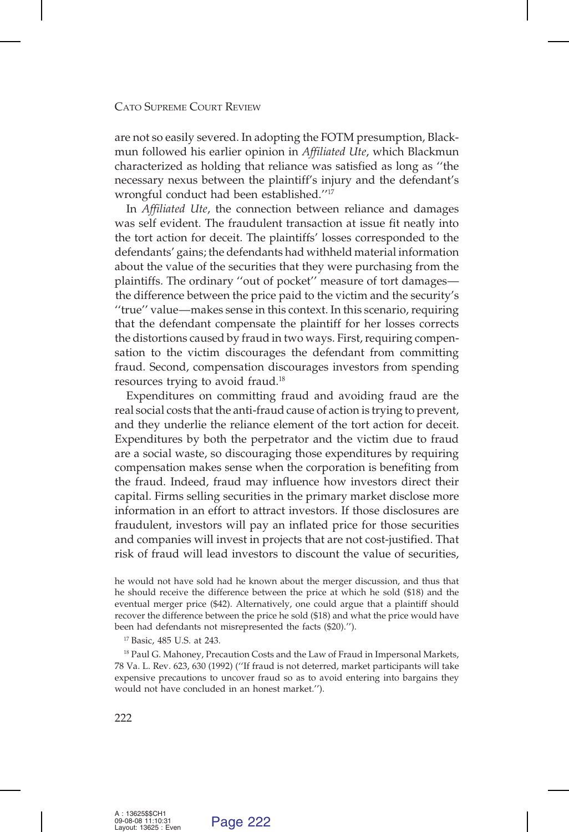are not so easily severed. In adopting the FOTM presumption, Blackmun followed his earlier opinion in *Affiliated Ute*, which Blackmun characterized as holding that reliance was satisfied as long as ''the necessary nexus between the plaintiff's injury and the defendant's wrongful conduct had been established.''17

In *Affiliated Ute*, the connection between reliance and damages was self evident. The fraudulent transaction at issue fit neatly into the tort action for deceit. The plaintiffs' losses corresponded to the defendants' gains; the defendants had withheld material information about the value of the securities that they were purchasing from the plaintiffs. The ordinary ''out of pocket'' measure of tort damages the difference between the price paid to the victim and the security's ''true'' value—makes sense in this context. In this scenario, requiring that the defendant compensate the plaintiff for her losses corrects the distortions caused by fraud in two ways. First, requiring compensation to the victim discourages the defendant from committing fraud. Second, compensation discourages investors from spending resources trying to avoid fraud.18

Expenditures on committing fraud and avoiding fraud are the real social costs that the anti-fraud cause of action is trying to prevent, and they underlie the reliance element of the tort action for deceit. Expenditures by both the perpetrator and the victim due to fraud are a social waste, so discouraging those expenditures by requiring compensation makes sense when the corporation is benefiting from the fraud. Indeed, fraud may influence how investors direct their capital. Firms selling securities in the primary market disclose more information in an effort to attract investors. If those disclosures are fraudulent, investors will pay an inflated price for those securities and companies will invest in projects that are not cost-justified. That risk of fraud will lead investors to discount the value of securities,

he would not have sold had he known about the merger discussion, and thus that he should receive the difference between the price at which he sold (\$18) and the eventual merger price (\$42). Alternatively, one could argue that a plaintiff should recover the difference between the price he sold (\$18) and what the price would have been had defendants not misrepresented the facts (\$20).'').

<sup>17</sup> Basic, 485 U.S. at 243.

<sup>18</sup> Paul G. Mahoney, Precaution Costs and the Law of Fraud in Impersonal Markets, 78 Va. L. Rev. 623, 630 (1992) (''If fraud is not deterred, market participants will take expensive precautions to uncover fraud so as to avoid entering into bargains they would not have concluded in an honest market.'').

222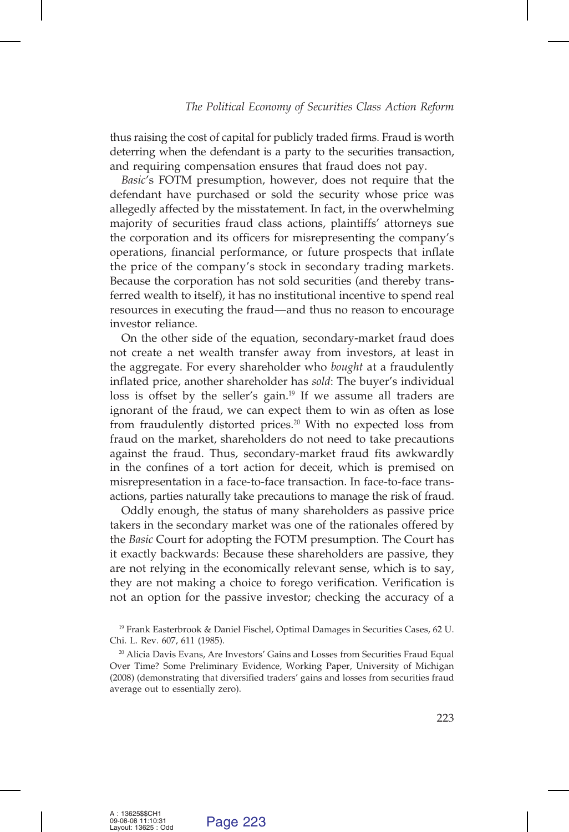thus raising the cost of capital for publicly traded firms. Fraud is worth deterring when the defendant is a party to the securities transaction, and requiring compensation ensures that fraud does not pay.

*Basic*'s FOTM presumption, however, does not require that the defendant have purchased or sold the security whose price was allegedly affected by the misstatement. In fact, in the overwhelming majority of securities fraud class actions, plaintiffs' attorneys sue the corporation and its officers for misrepresenting the company's operations, financial performance, or future prospects that inflate the price of the company's stock in secondary trading markets. Because the corporation has not sold securities (and thereby transferred wealth to itself), it has no institutional incentive to spend real resources in executing the fraud—and thus no reason to encourage investor reliance.

On the other side of the equation, secondary-market fraud does not create a net wealth transfer away from investors, at least in the aggregate. For every shareholder who *bought* at a fraudulently inflated price, another shareholder has *sold*: The buyer's individual loss is offset by the seller's gain.<sup>19</sup> If we assume all traders are ignorant of the fraud, we can expect them to win as often as lose from fraudulently distorted prices.<sup>20</sup> With no expected loss from fraud on the market, shareholders do not need to take precautions against the fraud. Thus, secondary-market fraud fits awkwardly in the confines of a tort action for deceit, which is premised on misrepresentation in a face-to-face transaction. In face-to-face transactions, parties naturally take precautions to manage the risk of fraud.

Oddly enough, the status of many shareholders as passive price takers in the secondary market was one of the rationales offered by the *Basic* Court for adopting the FOTM presumption. The Court has it exactly backwards: Because these shareholders are passive, they are not relying in the economically relevant sense, which is to say, they are not making a choice to forego verification. Verification is not an option for the passive investor; checking the accuracy of a



<sup>&</sup>lt;sup>19</sup> Frank Easterbrook & Daniel Fischel, Optimal Damages in Securities Cases, 62 U. Chi. L. Rev. 607, 611 (1985).

<sup>&</sup>lt;sup>20</sup> Alicia Davis Evans, Are Investors' Gains and Losses from Securities Fraud Equal Over Time? Some Preliminary Evidence, Working Paper, University of Michigan (2008) (demonstrating that diversified traders' gains and losses from securities fraud average out to essentially zero).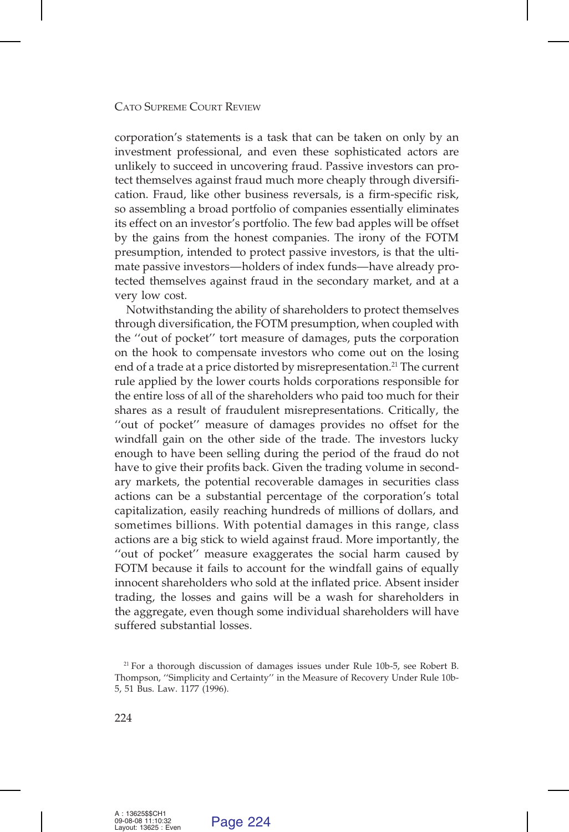corporation's statements is a task that can be taken on only by an investment professional, and even these sophisticated actors are unlikely to succeed in uncovering fraud. Passive investors can protect themselves against fraud much more cheaply through diversification. Fraud, like other business reversals, is a firm-specific risk, so assembling a broad portfolio of companies essentially eliminates its effect on an investor's portfolio. The few bad apples will be offset by the gains from the honest companies. The irony of the FOTM presumption, intended to protect passive investors, is that the ultimate passive investors—holders of index funds—have already protected themselves against fraud in the secondary market, and at a very low cost.

Notwithstanding the ability of shareholders to protect themselves through diversification, the FOTM presumption, when coupled with the ''out of pocket'' tort measure of damages, puts the corporation on the hook to compensate investors who come out on the losing end of a trade at a price distorted by misrepresentation.<sup>21</sup> The current rule applied by the lower courts holds corporations responsible for the entire loss of all of the shareholders who paid too much for their shares as a result of fraudulent misrepresentations. Critically, the "out of pocket" measure of damages provides no offset for the windfall gain on the other side of the trade. The investors lucky enough to have been selling during the period of the fraud do not have to give their profits back. Given the trading volume in secondary markets, the potential recoverable damages in securities class actions can be a substantial percentage of the corporation's total capitalization, easily reaching hundreds of millions of dollars, and sometimes billions. With potential damages in this range, class actions are a big stick to wield against fraud. More importantly, the "out of pocket" measure exaggerates the social harm caused by FOTM because it fails to account for the windfall gains of equally innocent shareholders who sold at the inflated price. Absent insider trading, the losses and gains will be a wash for shareholders in the aggregate, even though some individual shareholders will have suffered substantial losses.

<sup>&</sup>lt;sup>21</sup> For a thorough discussion of damages issues under Rule 10b-5, see Robert B. Thompson, ''Simplicity and Certainty'' in the Measure of Recovery Under Rule 10b-5, 51 Bus. Law. 1177 (1996).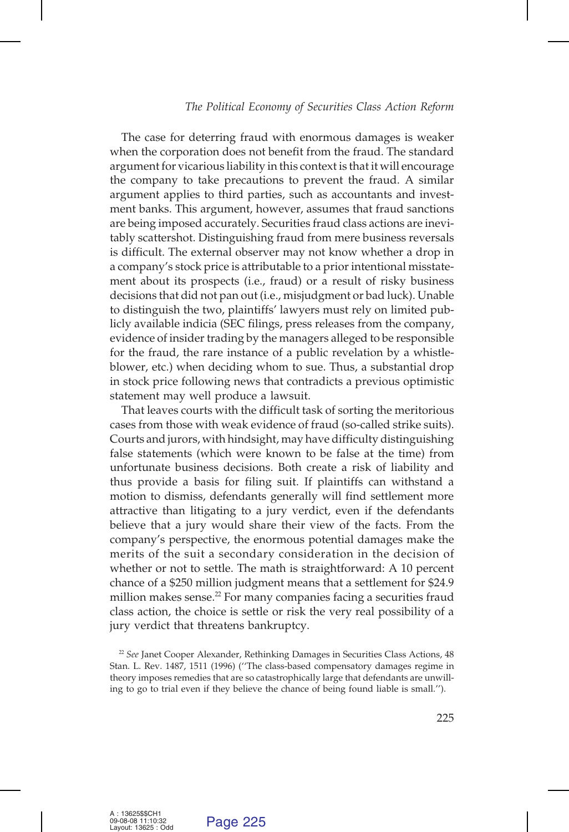The case for deterring fraud with enormous damages is weaker when the corporation does not benefit from the fraud. The standard argument for vicarious liability in this context is that it will encourage the company to take precautions to prevent the fraud. A similar argument applies to third parties, such as accountants and investment banks. This argument, however, assumes that fraud sanctions are being imposed accurately. Securities fraud class actions are inevitably scattershot. Distinguishing fraud from mere business reversals is difficult. The external observer may not know whether a drop in a company's stock price is attributable to a prior intentional misstatement about its prospects (i.e., fraud) or a result of risky business decisions that did not pan out (i.e., misjudgment or bad luck). Unable to distinguish the two, plaintiffs' lawyers must rely on limited publicly available indicia (SEC filings, press releases from the company, evidence of insider trading by the managers alleged to be responsible for the fraud, the rare instance of a public revelation by a whistleblower, etc.) when deciding whom to sue. Thus, a substantial drop in stock price following news that contradicts a previous optimistic statement may well produce a lawsuit.

That leaves courts with the difficult task of sorting the meritorious cases from those with weak evidence of fraud (so-called strike suits). Courts and jurors, with hindsight, may have difficulty distinguishing false statements (which were known to be false at the time) from unfortunate business decisions. Both create a risk of liability and thus provide a basis for filing suit. If plaintiffs can withstand a motion to dismiss, defendants generally will find settlement more attractive than litigating to a jury verdict, even if the defendants believe that a jury would share their view of the facts. From the company's perspective, the enormous potential damages make the merits of the suit a secondary consideration in the decision of whether or not to settle. The math is straightforward: A 10 percent chance of a \$250 million judgment means that a settlement for \$24.9 million makes sense.<sup>22</sup> For many companies facing a securities fraud class action, the choice is settle or risk the very real possibility of a jury verdict that threatens bankruptcy.



<sup>22</sup> *See* Janet Cooper Alexander, Rethinking Damages in Securities Class Actions, 48 Stan. L. Rev. 1487, 1511 (1996) (''The class-based compensatory damages regime in theory imposes remedies that are so catastrophically large that defendants are unwilling to go to trial even if they believe the chance of being found liable is small.'').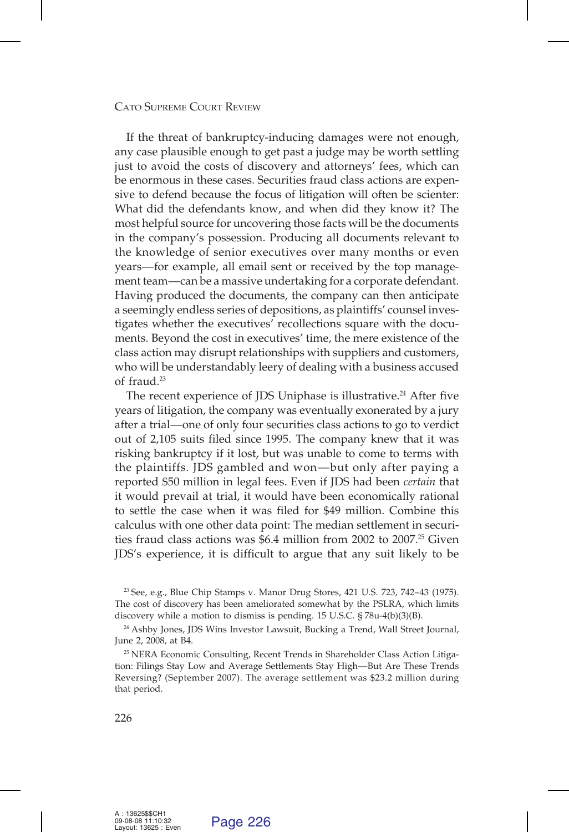If the threat of bankruptcy-inducing damages were not enough, any case plausible enough to get past a judge may be worth settling just to avoid the costs of discovery and attorneys' fees, which can be enormous in these cases. Securities fraud class actions are expensive to defend because the focus of litigation will often be scienter: What did the defendants know, and when did they know it? The most helpful source for uncovering those facts will be the documents in the company's possession. Producing all documents relevant to the knowledge of senior executives over many months or even years—for example, all email sent or received by the top management team—can be a massive undertaking for a corporate defendant. Having produced the documents, the company can then anticipate a seemingly endless series of depositions, as plaintiffs' counsel investigates whether the executives' recollections square with the documents. Beyond the cost in executives' time, the mere existence of the class action may disrupt relationships with suppliers and customers, who will be understandably leery of dealing with a business accused of fraud.23

The recent experience of JDS Uniphase is illustrative.<sup>24</sup> After five years of litigation, the company was eventually exonerated by a jury after a trial—one of only four securities class actions to go to verdict out of 2,105 suits filed since 1995. The company knew that it was risking bankruptcy if it lost, but was unable to come to terms with the plaintiffs. JDS gambled and won—but only after paying a reported \$50 million in legal fees. Even if JDS had been *certain* that it would prevail at trial, it would have been economically rational to settle the case when it was filed for \$49 million. Combine this calculus with one other data point: The median settlement in securities fraud class actions was \$6.4 million from 2002 to 2007.<sup>25</sup> Given JDS's experience, it is difficult to argue that any suit likely to be

<sup>23</sup> See, e.g., Blue Chip Stamps v. Manor Drug Stores, 421 U.S. 723, 742–43 (1975). The cost of discovery has been ameliorated somewhat by the PSLRA, which limits discovery while a motion to dismiss is pending. 15 U.S.C. § 78u-4(b)(3)(B).

<sup>24</sup> Ashby Jones, JDS Wins Investor Lawsuit, Bucking a Trend, Wall Street Journal, June 2, 2008, at B4.

<sup>&</sup>lt;sup>25</sup> NERA Economic Consulting, Recent Trends in Shareholder Class Action Litigation: Filings Stay Low and Average Settlements Stay High—But Are These Trends Reversing? (September 2007). The average settlement was \$23.2 million during that period.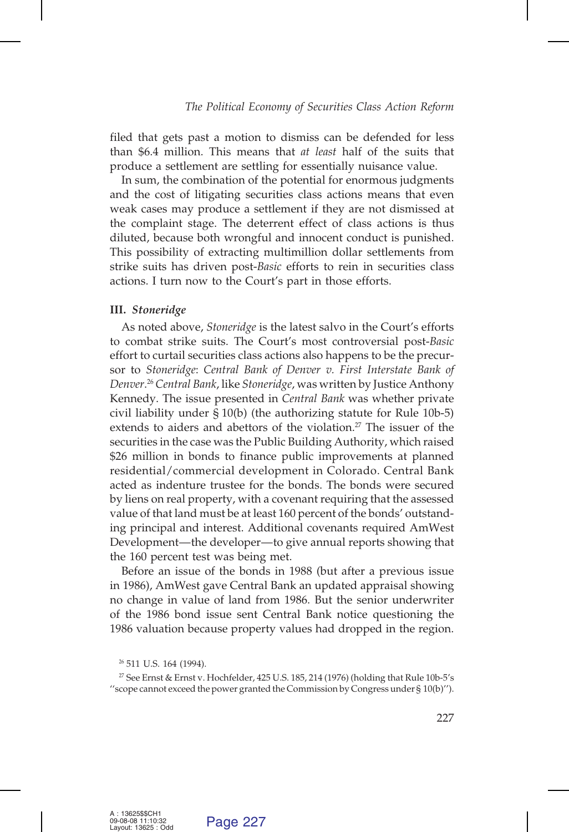filed that gets past a motion to dismiss can be defended for less than \$6.4 million. This means that *at least* half of the suits that produce a settlement are settling for essentially nuisance value.

In sum, the combination of the potential for enormous judgments and the cost of litigating securities class actions means that even weak cases may produce a settlement if they are not dismissed at the complaint stage. The deterrent effect of class actions is thus diluted, because both wrongful and innocent conduct is punished. This possibility of extracting multimillion dollar settlements from strike suits has driven post-*Basic* efforts to rein in securities class actions. I turn now to the Court's part in those efforts.

#### **III.** *Stoneridge*

As noted above, *Stoneridge* is the latest salvo in the Court's efforts to combat strike suits. The Court's most controversial post-*Basic* effort to curtail securities class actions also happens to be the precursor to *Stoneridge*: *Central Bank of Denver v. First Interstate Bank of Denver*. <sup>26</sup> *Central Bank*, like *Stoneridge*, was written by Justice Anthony Kennedy. The issue presented in *Central Bank* was whether private civil liability under § 10(b) (the authorizing statute for Rule 10b-5) extends to aiders and abettors of the violation.<sup>27</sup> The issuer of the securities in the case was the Public Building Authority, which raised \$26 million in bonds to finance public improvements at planned residential/commercial development in Colorado. Central Bank acted as indenture trustee for the bonds. The bonds were secured by liens on real property, with a covenant requiring that the assessed value of that land must be at least 160 percent of the bonds' outstanding principal and interest. Additional covenants required AmWest Development—the developer—to give annual reports showing that the 160 percent test was being met.

Before an issue of the bonds in 1988 (but after a previous issue in 1986), AmWest gave Central Bank an updated appraisal showing no change in value of land from 1986. But the senior underwriter of the 1986 bond issue sent Central Bank notice questioning the 1986 valuation because property values had dropped in the region.

<sup>26</sup> 511 U.S. 164 (1994).

 $27$  See Ernst & Ernst v. Hochfelder, 425 U.S. 185, 214 (1976) (holding that Rule 10b-5's ''scope cannot exceed the power granted the Commission by Congress under § 10(b)'').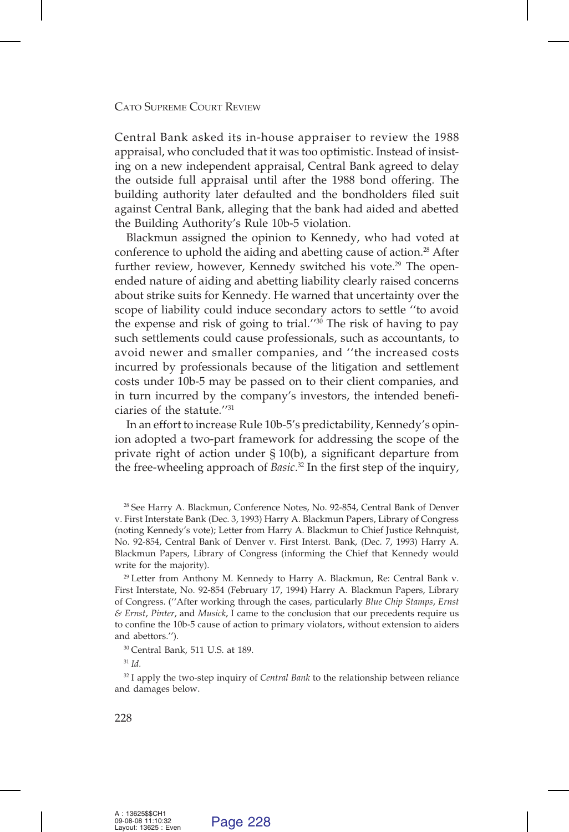Central Bank asked its in-house appraiser to review the 1988 appraisal, who concluded that it was too optimistic. Instead of insisting on a new independent appraisal, Central Bank agreed to delay the outside full appraisal until after the 1988 bond offering. The building authority later defaulted and the bondholders filed suit against Central Bank, alleging that the bank had aided and abetted the Building Authority's Rule 10b-5 violation.

Blackmun assigned the opinion to Kennedy, who had voted at conference to uphold the aiding and abetting cause of action.<sup>28</sup> After further review, however, Kennedy switched his vote.<sup>29</sup> The openended nature of aiding and abetting liability clearly raised concerns about strike suits for Kennedy. He warned that uncertainty over the scope of liability could induce secondary actors to settle ''to avoid the expense and risk of going to trial.''30 The risk of having to pay such settlements could cause professionals, such as accountants, to avoid newer and smaller companies, and ''the increased costs incurred by professionals because of the litigation and settlement costs under 10b-5 may be passed on to their client companies, and in turn incurred by the company's investors, the intended beneficiaries of the statute.''31

In an effort to increase Rule 10b-5's predictability, Kennedy's opinion adopted a two-part framework for addressing the scope of the private right of action under § 10(b), a significant departure from the free-wheeling approach of *Basic*. <sup>32</sup> In the first step of the inquiry,

<sup>28</sup> See Harry A. Blackmun, Conference Notes, No. 92-854, Central Bank of Denver v. First Interstate Bank (Dec. 3, 1993) Harry A. Blackmun Papers, Library of Congress (noting Kennedy's vote); Letter from Harry A. Blackmun to Chief Justice Rehnquist, No. 92-854, Central Bank of Denver v. First Interst. Bank, (Dec. 7, 1993) Harry A. Blackmun Papers, Library of Congress (informing the Chief that Kennedy would write for the majority).

<sup>29</sup> Letter from Anthony M. Kennedy to Harry A. Blackmun, Re: Central Bank v. First Interstate, No. 92-854 (February 17, 1994) Harry A. Blackmun Papers, Library of Congress. (''After working through the cases, particularly *Blue Chip Stamps*, *Ernst & Ernst*, *Pinter*, and *Musick*, I came to the conclusion that our precedents require us to confine the 10b-5 cause of action to primary violators, without extension to aiders and abettors.'').

<sup>30</sup> Central Bank, 511 U.S. at 189.

<sup>31</sup> *Id.*

<sup>32</sup> I apply the two-step inquiry of *Central Bank* to the relationship between reliance and damages below.

228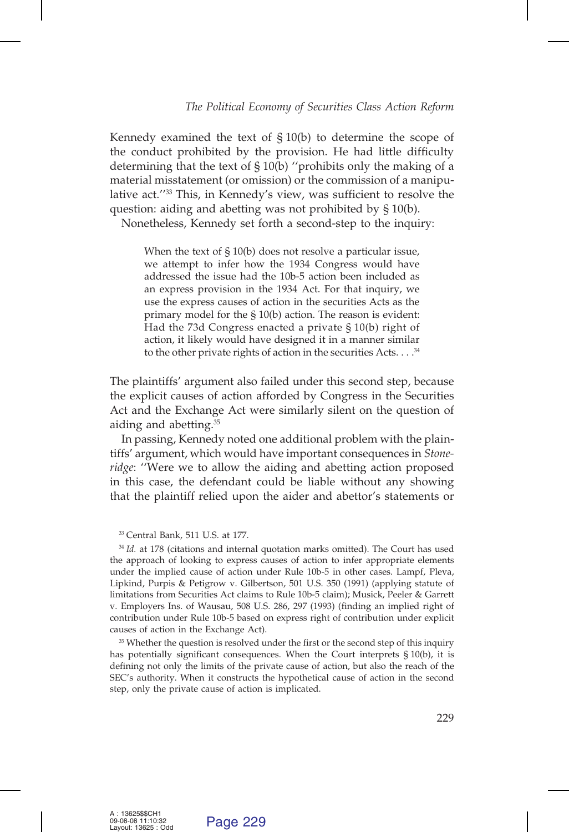Kennedy examined the text of § 10(b) to determine the scope of the conduct prohibited by the provision. He had little difficulty determining that the text of § 10(b) ''prohibits only the making of a material misstatement (or omission) or the commission of a manipulative act.''33 This, in Kennedy's view, was sufficient to resolve the question: aiding and abetting was not prohibited by § 10(b).

Nonetheless, Kennedy set forth a second-step to the inquiry:

When the text of § 10(b) does not resolve a particular issue, we attempt to infer how the 1934 Congress would have addressed the issue had the 10b-5 action been included as an express provision in the 1934 Act. For that inquiry, we use the express causes of action in the securities Acts as the primary model for the § 10(b) action. The reason is evident: Had the 73d Congress enacted a private § 10(b) right of action, it likely would have designed it in a manner similar to the other private rights of action in the securities Acts.  $\dots$ <sup>34</sup>

The plaintiffs' argument also failed under this second step, because the explicit causes of action afforded by Congress in the Securities Act and the Exchange Act were similarly silent on the question of aiding and abetting.35

In passing, Kennedy noted one additional problem with the plaintiffs' argument, which would have important consequences in *Stoneridge*: ''Were we to allow the aiding and abetting action proposed in this case, the defendant could be liable without any showing that the plaintiff relied upon the aider and abettor's statements or

<sup>33</sup> Central Bank, 511 U.S. at 177.

<sup>34</sup> Id. at 178 (citations and internal quotation marks omitted). The Court has used the approach of looking to express causes of action to infer appropriate elements under the implied cause of action under Rule 10b-5 in other cases. Lampf, Pleva, Lipkind, Purpis & Petigrow v. Gilbertson, 501 U.S. 350 (1991) (applying statute of limitations from Securities Act claims to Rule 10b-5 claim); Musick, Peeler & Garrett v. Employers Ins. of Wausau, 508 U.S. 286, 297 (1993) (finding an implied right of contribution under Rule 10b-5 based on express right of contribution under explicit causes of action in the Exchange Act).

<sup>35</sup> Whether the question is resolved under the first or the second step of this inquiry has potentially significant consequences. When the Court interprets § 10(b), it is defining not only the limits of the private cause of action, but also the reach of the SEC's authority. When it constructs the hypothetical cause of action in the second step, only the private cause of action is implicated.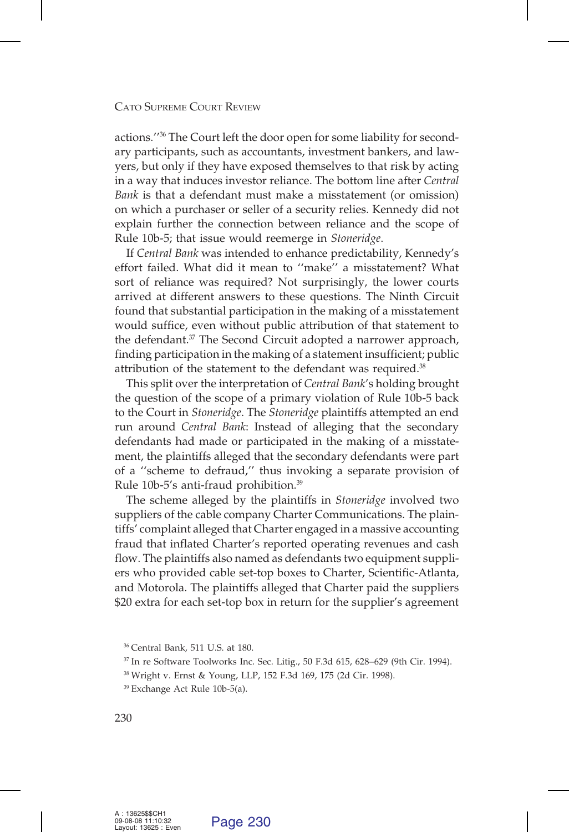actions.''36 The Court left the door open for some liability for secondary participants, such as accountants, investment bankers, and lawyers, but only if they have exposed themselves to that risk by acting in a way that induces investor reliance. The bottom line after *Central Bank* is that a defendant must make a misstatement (or omission) on which a purchaser or seller of a security relies. Kennedy did not explain further the connection between reliance and the scope of Rule 10b-5; that issue would reemerge in *Stoneridge*.

If *Central Bank* was intended to enhance predictability, Kennedy's effort failed. What did it mean to ''make'' a misstatement? What sort of reliance was required? Not surprisingly, the lower courts arrived at different answers to these questions. The Ninth Circuit found that substantial participation in the making of a misstatement would suffice, even without public attribution of that statement to the defendant.<sup>37</sup> The Second Circuit adopted a narrower approach, finding participation in the making of a statement insufficient; public attribution of the statement to the defendant was required.<sup>38</sup>

This split over the interpretation of *Central Bank*'s holding brought the question of the scope of a primary violation of Rule 10b-5 back to the Court in *Stoneridge*. The *Stoneridge* plaintiffs attempted an end run around *Central Bank*: Instead of alleging that the secondary defendants had made or participated in the making of a misstatement, the plaintiffs alleged that the secondary defendants were part of a ''scheme to defraud,'' thus invoking a separate provision of Rule 10b-5's anti-fraud prohibition.<sup>39</sup>

The scheme alleged by the plaintiffs in *Stoneridge* involved two suppliers of the cable company Charter Communications. The plaintiffs' complaint alleged that Charter engaged in a massive accounting fraud that inflated Charter's reported operating revenues and cash flow. The plaintiffs also named as defendants two equipment suppliers who provided cable set-top boxes to Charter, Scientific-Atlanta, and Motorola. The plaintiffs alleged that Charter paid the suppliers \$20 extra for each set-top box in return for the supplier's agreement

<sup>36</sup> Central Bank, 511 U.S. at 180.

<sup>37</sup> In re Software Toolworks Inc. Sec. Litig., 50 F.3d 615, 628–629 (9th Cir. 1994).

<sup>38</sup> Wright v. Ernst & Young, LLP, 152 F.3d 169, 175 (2d Cir. 1998).

<sup>39</sup> Exchange Act Rule 10b-5(a).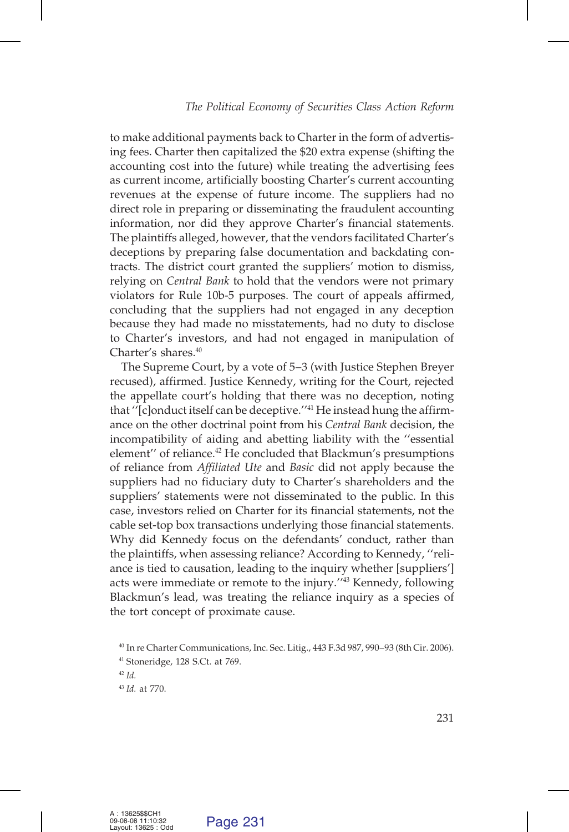to make additional payments back to Charter in the form of advertising fees. Charter then capitalized the \$20 extra expense (shifting the accounting cost into the future) while treating the advertising fees as current income, artificially boosting Charter's current accounting revenues at the expense of future income. The suppliers had no direct role in preparing or disseminating the fraudulent accounting information, nor did they approve Charter's financial statements. The plaintiffs alleged, however, that the vendors facilitated Charter's deceptions by preparing false documentation and backdating contracts. The district court granted the suppliers' motion to dismiss, relying on *Central Bank* to hold that the vendors were not primary violators for Rule 10b-5 purposes. The court of appeals affirmed, concluding that the suppliers had not engaged in any deception because they had made no misstatements, had no duty to disclose to Charter's investors, and had not engaged in manipulation of Charter's shares.<sup>40</sup>

The Supreme Court, by a vote of 5–3 (with Justice Stephen Breyer recused), affirmed. Justice Kennedy, writing for the Court, rejected the appellate court's holding that there was no deception, noting that "[c]onduct itself can be deceptive."<sup>41</sup> He instead hung the affirmance on the other doctrinal point from his *Central Bank* decision, the incompatibility of aiding and abetting liability with the ''essential element" of reliance.<sup>42</sup> He concluded that Blackmun's presumptions of reliance from *Affiliated Ute* and *Basic* did not apply because the suppliers had no fiduciary duty to Charter's shareholders and the suppliers' statements were not disseminated to the public. In this case, investors relied on Charter for its financial statements, not the cable set-top box transactions underlying those financial statements. Why did Kennedy focus on the defendants' conduct, rather than the plaintiffs, when assessing reliance? According to Kennedy, ''reliance is tied to causation, leading to the inquiry whether [suppliers'] acts were immediate or remote to the injury.''43 Kennedy, following Blackmun's lead, was treating the reliance inquiry as a species of the tort concept of proximate cause.



<sup>40</sup> In re Charter Communications, Inc. Sec. Litig., 443 F.3d 987, 990–93 (8th Cir. 2006).

<sup>41</sup> Stoneridge, 128 S.Ct. at 769.

<sup>42</sup> *Id.*

<sup>43</sup> *Id.* at 770.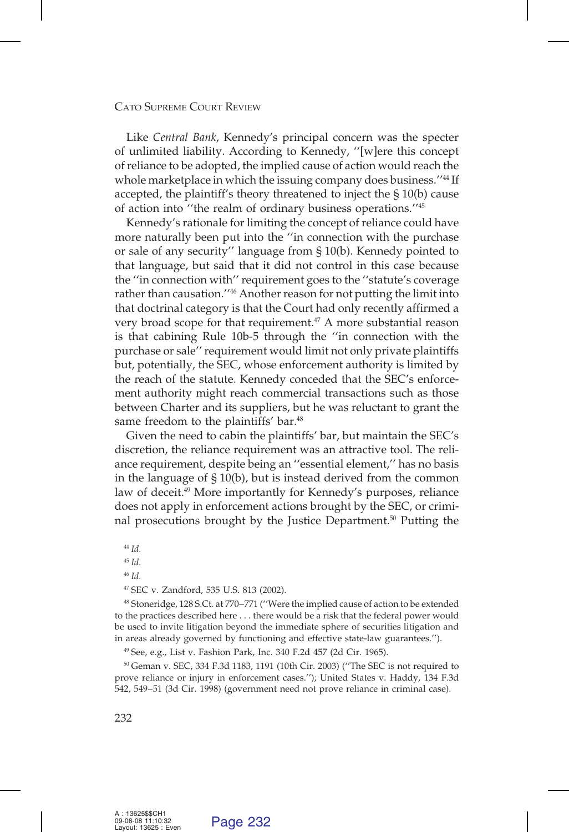Like *Central Bank*, Kennedy's principal concern was the specter of unlimited liability. According to Kennedy, ''[w]ere this concept of reliance to be adopted, the implied cause of action would reach the whole marketplace in which the issuing company does business."<sup>44</sup> If accepted, the plaintiff's theory threatened to inject the § 10(b) cause of action into ''the realm of ordinary business operations.''45

Kennedy's rationale for limiting the concept of reliance could have more naturally been put into the ''in connection with the purchase or sale of any security'' language from § 10(b). Kennedy pointed to that language, but said that it did not control in this case because the ''in connection with'' requirement goes to the ''statute's coverage rather than causation.''46 Another reason for not putting the limit into that doctrinal category is that the Court had only recently affirmed a very broad scope for that requirement.<sup> $47$ </sup> A more substantial reason is that cabining Rule 10b-5 through the ''in connection with the purchase or sale'' requirement would limit not only private plaintiffs but, potentially, the SEC, whose enforcement authority is limited by the reach of the statute. Kennedy conceded that the SEC's enforcement authority might reach commercial transactions such as those between Charter and its suppliers, but he was reluctant to grant the same freedom to the plaintiffs' bar.<sup>48</sup>

Given the need to cabin the plaintiffs' bar, but maintain the SEC's discretion, the reliance requirement was an attractive tool. The reliance requirement, despite being an ''essential element,'' has no basis in the language of § 10(b), but is instead derived from the common law of deceit.<sup>49</sup> More importantly for Kennedy's purposes, reliance does not apply in enforcement actions brought by the SEC, or criminal prosecutions brought by the Justice Department.<sup>50</sup> Putting the

<sup>44</sup> *Id.*

<sup>45</sup> *Id.*

<sup>46</sup> *Id.*

<sup>47</sup> SEC v. Zandford, 535 U.S. 813 (2002).

<sup>48</sup> Stoneridge, 128 S.Ct. at 770–771 (''Were the implied cause of action to be extended to the practices described here . . . there would be a risk that the federal power would be used to invite litigation beyond the immediate sphere of securities litigation and in areas already governed by functioning and effective state-law guarantees.'').

<sup>49</sup> See, e.g., List v. Fashion Park, Inc. 340 F.2d 457 (2d Cir. 1965).

<sup>50</sup> Geman v. SEC, 334 F.3d 1183, 1191 (10th Cir. 2003) (''The SEC is not required to prove reliance or injury in enforcement cases.''); United States v. Haddy, 134 F.3d 542, 549–51 (3d Cir. 1998) (government need not prove reliance in criminal case).

232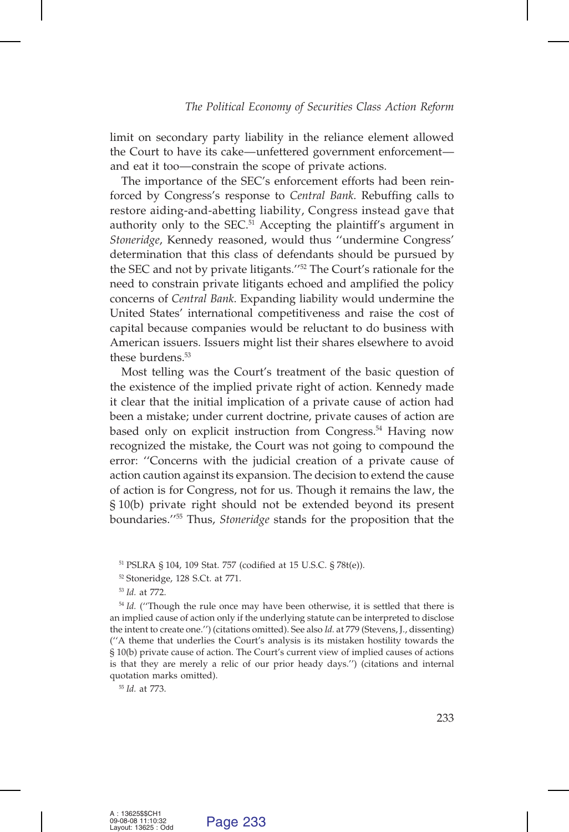limit on secondary party liability in the reliance element allowed the Court to have its cake—unfettered government enforcement and eat it too—constrain the scope of private actions.

The importance of the SEC's enforcement efforts had been reinforced by Congress's response to *Central Bank*. Rebuffing calls to restore aiding-and-abetting liability, Congress instead gave that authority only to the SEC.<sup>51</sup> Accepting the plaintiff's argument in *Stoneridge*, Kennedy reasoned, would thus ''undermine Congress' determination that this class of defendants should be pursued by the SEC and not by private litigants.''52 The Court's rationale for the need to constrain private litigants echoed and amplified the policy concerns of *Central Bank*. Expanding liability would undermine the United States' international competitiveness and raise the cost of capital because companies would be reluctant to do business with American issuers. Issuers might list their shares elsewhere to avoid these burdens.<sup>53</sup>

Most telling was the Court's treatment of the basic question of the existence of the implied private right of action. Kennedy made it clear that the initial implication of a private cause of action had been a mistake; under current doctrine, private causes of action are based only on explicit instruction from Congress.<sup>54</sup> Having now recognized the mistake, the Court was not going to compound the error: ''Concerns with the judicial creation of a private cause of action caution against its expansion. The decision to extend the cause of action is for Congress, not for us. Though it remains the law, the § 10(b) private right should not be extended beyond its present boundaries.''55 Thus, *Stoneridge* stands for the proposition that the

Page 233

<sup>54</sup> Id. ("Though the rule once may have been otherwise, it is settled that there is an implied cause of action only if the underlying statute can be interpreted to disclose the intent to create one.'') (citations omitted). See also *Id.* at 779 (Stevens, J., dissenting) (''A theme that underlies the Court's analysis is its mistaken hostility towards the § 10(b) private cause of action. The Court's current view of implied causes of actions is that they are merely a relic of our prior heady days.'') (citations and internal quotation marks omitted).

<sup>55</sup> *Id.* at 773.

A : 13625\$\$CH1 09-08-08 11:10:32

<sup>51</sup> PSLRA § 104, 109 Stat. 757 (codified at 15 U.S.C. § 78t(e)).

<sup>52</sup> Stoneridge, 128 S.Ct. at 771.

<sup>53</sup> *Id.* at 772.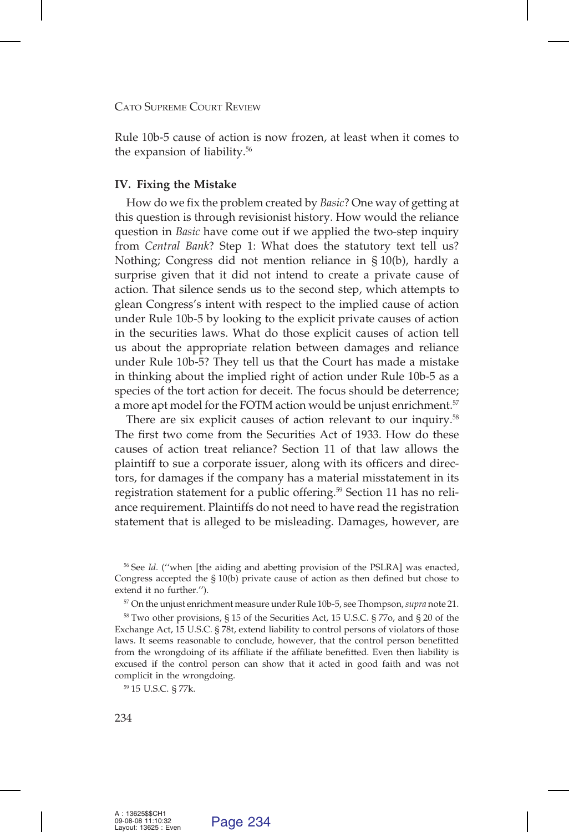Rule 10b-5 cause of action is now frozen, at least when it comes to the expansion of liability.<sup>56</sup>

#### **IV. Fixing the Mistake**

How do we fix the problem created by *Basic*? One way of getting at this question is through revisionist history. How would the reliance question in *Basic* have come out if we applied the two-step inquiry from *Central Bank*? Step 1: What does the statutory text tell us? Nothing; Congress did not mention reliance in § 10(b), hardly a surprise given that it did not intend to create a private cause of action. That silence sends us to the second step, which attempts to glean Congress's intent with respect to the implied cause of action under Rule 10b-5 by looking to the explicit private causes of action in the securities laws. What do those explicit causes of action tell us about the appropriate relation between damages and reliance under Rule 10b-5? They tell us that the Court has made a mistake in thinking about the implied right of action under Rule 10b-5 as a species of the tort action for deceit. The focus should be deterrence; a more apt model for the FOTM action would be unjust enrichment.<sup>57</sup>

There are six explicit causes of action relevant to our inquiry.<sup>58</sup> The first two come from the Securities Act of 1933. How do these causes of action treat reliance? Section 11 of that law allows the plaintiff to sue a corporate issuer, along with its officers and directors, for damages if the company has a material misstatement in its registration statement for a public offering.<sup>59</sup> Section 11 has no reliance requirement. Plaintiffs do not need to have read the registration statement that is alleged to be misleading. Damages, however, are

234

<sup>&</sup>lt;sup>56</sup> See Id. ("when [the aiding and abetting provision of the PSLRA] was enacted, Congress accepted the § 10(b) private cause of action as then defined but chose to extend it no further.'').

<sup>57</sup> On the unjust enrichment measure under Rule 10b-5, see Thompson,*supra* note 21.

<sup>58</sup> Two other provisions, § 15 of the Securities Act, 15 U.S.C. § 77o, and § 20 of the Exchange Act, 15 U.S.C. § 78t, extend liability to control persons of violators of those laws. It seems reasonable to conclude, however, that the control person benefitted from the wrongdoing of its affiliate if the affiliate benefitted. Even then liability is excused if the control person can show that it acted in good faith and was not complicit in the wrongdoing.

<sup>59</sup> 15 U.S.C. § 77k.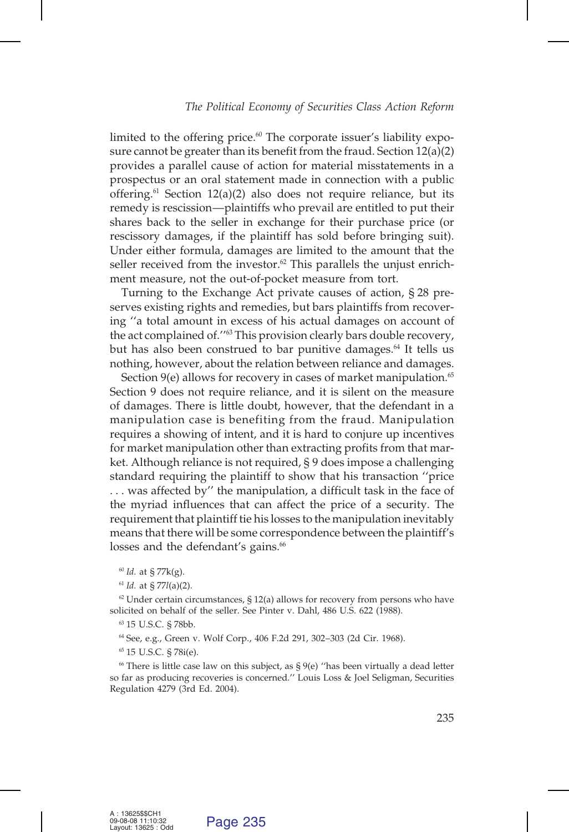limited to the offering price. $60$  The corporate issuer's liability exposure cannot be greater than its benefit from the fraud. Section 12(a)(2) provides a parallel cause of action for material misstatements in a prospectus or an oral statement made in connection with a public offering.<sup>61</sup> Section 12(a)(2) also does not require reliance, but its remedy is rescission—plaintiffs who prevail are entitled to put their shares back to the seller in exchange for their purchase price (or rescissory damages, if the plaintiff has sold before bringing suit). Under either formula, damages are limited to the amount that the seller received from the investor. $62$  This parallels the unjust enrichment measure, not the out-of-pocket measure from tort.

Turning to the Exchange Act private causes of action, § 28 preserves existing rights and remedies, but bars plaintiffs from recovering ''a total amount in excess of his actual damages on account of the act complained of.''63 This provision clearly bars double recovery, but has also been construed to bar punitive damages.<sup>64</sup> It tells us nothing, however, about the relation between reliance and damages.

Section  $9(e)$  allows for recovery in cases of market manipulation.<sup>65</sup> Section 9 does not require reliance, and it is silent on the measure of damages. There is little doubt, however, that the defendant in a manipulation case is benefiting from the fraud. Manipulation requires a showing of intent, and it is hard to conjure up incentives for market manipulation other than extracting profits from that market. Although reliance is not required, § 9 does impose a challenging standard requiring the plaintiff to show that his transaction ''price . . . was affected by'' the manipulation, a difficult task in the face of the myriad influences that can affect the price of a security. The requirement that plaintiff tie his losses to the manipulation inevitably means that there will be some correspondence between the plaintiff's losses and the defendant's gains.<sup>66</sup>

 $62$  Under certain circumstances, § 12(a) allows for recovery from persons who have solicited on behalf of the seller. See Pinter v. Dahl, 486 U.S. 622 (1988).

<sup>63</sup> 15 U.S.C. § 78bb.

<sup>64</sup> See, e.g., Green v. Wolf Corp., 406 F.2d 291, 302–303 (2d Cir. 1968).

<sup>65</sup> 15 U.S.C. § 78i(e).

 $66$  There is little case law on this subject, as  $\S 9(e)$  "has been virtually a dead letter so far as producing recoveries is concerned.'' Louis Loss & Joel Seligman, Securities Regulation 4279 (3rd Ed. 2004).



<sup>60</sup> *Id.* at § 77k(g).

<sup>61</sup> *Id.* at § 77*l*(a)(2).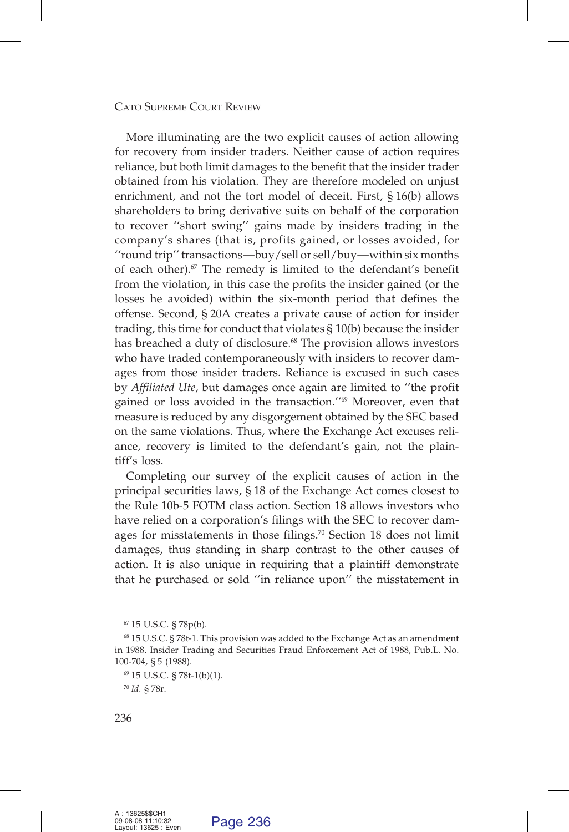More illuminating are the two explicit causes of action allowing for recovery from insider traders. Neither cause of action requires reliance, but both limit damages to the benefit that the insider trader obtained from his violation. They are therefore modeled on unjust enrichment, and not the tort model of deceit. First, § 16(b) allows shareholders to bring derivative suits on behalf of the corporation to recover ''short swing'' gains made by insiders trading in the company's shares (that is, profits gained, or losses avoided, for ''round trip'' transactions—buy/sell or sell/buy—within six months of each other). $67$  The remedy is limited to the defendant's benefit from the violation, in this case the profits the insider gained (or the losses he avoided) within the six-month period that defines the offense. Second, § 20A creates a private cause of action for insider trading, this time for conduct that violates § 10(b) because the insider has breached a duty of disclosure.<sup>68</sup> The provision allows investors who have traded contemporaneously with insiders to recover damages from those insider traders. Reliance is excused in such cases by *Affiliated Ute*, but damages once again are limited to ''the profit gained or loss avoided in the transaction.''69 Moreover, even that measure is reduced by any disgorgement obtained by the SEC based on the same violations. Thus, where the Exchange Act excuses reliance, recovery is limited to the defendant's gain, not the plaintiff's loss.

Completing our survey of the explicit causes of action in the principal securities laws, § 18 of the Exchange Act comes closest to the Rule 10b-5 FOTM class action. Section 18 allows investors who have relied on a corporation's filings with the SEC to recover damages for misstatements in those filings. $70$  Section 18 does not limit damages, thus standing in sharp contrast to the other causes of action. It is also unique in requiring that a plaintiff demonstrate that he purchased or sold ''in reliance upon'' the misstatement in

 $67$  15 U.S.C. § 78p(b).

<sup>68</sup> 15 U.S.C. § 78t-1. This provision was added to the Exchange Act as an amendment in 1988. Insider Trading and Securities Fraud Enforcement Act of 1988, Pub.L. No. 100-704, § 5 (1988).

 $69$  15 U.S.C. § 78t-1(b)(1). <sup>70</sup> *Id.* § 78r.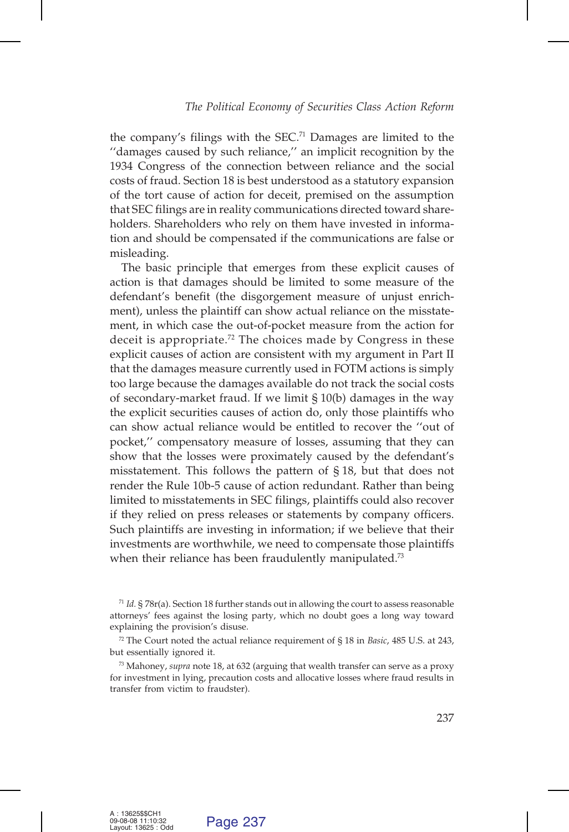the company's filings with the  $SEC$ .<sup>71</sup> Damages are limited to the ''damages caused by such reliance,'' an implicit recognition by the 1934 Congress of the connection between reliance and the social costs of fraud. Section 18 is best understood as a statutory expansion of the tort cause of action for deceit, premised on the assumption that SEC filings are in reality communications directed toward shareholders. Shareholders who rely on them have invested in information and should be compensated if the communications are false or misleading.

The basic principle that emerges from these explicit causes of action is that damages should be limited to some measure of the defendant's benefit (the disgorgement measure of unjust enrichment), unless the plaintiff can show actual reliance on the misstatement, in which case the out-of-pocket measure from the action for deceit is appropriate.<sup>72</sup> The choices made by Congress in these explicit causes of action are consistent with my argument in Part II that the damages measure currently used in FOTM actions is simply too large because the damages available do not track the social costs of secondary-market fraud. If we limit § 10(b) damages in the way the explicit securities causes of action do, only those plaintiffs who can show actual reliance would be entitled to recover the ''out of pocket,'' compensatory measure of losses, assuming that they can show that the losses were proximately caused by the defendant's misstatement. This follows the pattern of § 18, but that does not render the Rule 10b-5 cause of action redundant. Rather than being limited to misstatements in SEC filings, plaintiffs could also recover if they relied on press releases or statements by company officers. Such plaintiffs are investing in information; if we believe that their investments are worthwhile, we need to compensate those plaintiffs when their reliance has been fraudulently manipulated.<sup>73</sup>



<sup>71</sup> *Id.* § 78r(a). Section 18 further stands out in allowing the court to assess reasonable attorneys' fees against the losing party, which no doubt goes a long way toward explaining the provision's disuse.

<sup>72</sup> The Court noted the actual reliance requirement of § 18 in *Basic*, 485 U.S. at 243, but essentially ignored it.

<sup>73</sup> Mahoney, *supra* note 18, at 632 (arguing that wealth transfer can serve as a proxy for investment in lying, precaution costs and allocative losses where fraud results in transfer from victim to fraudster).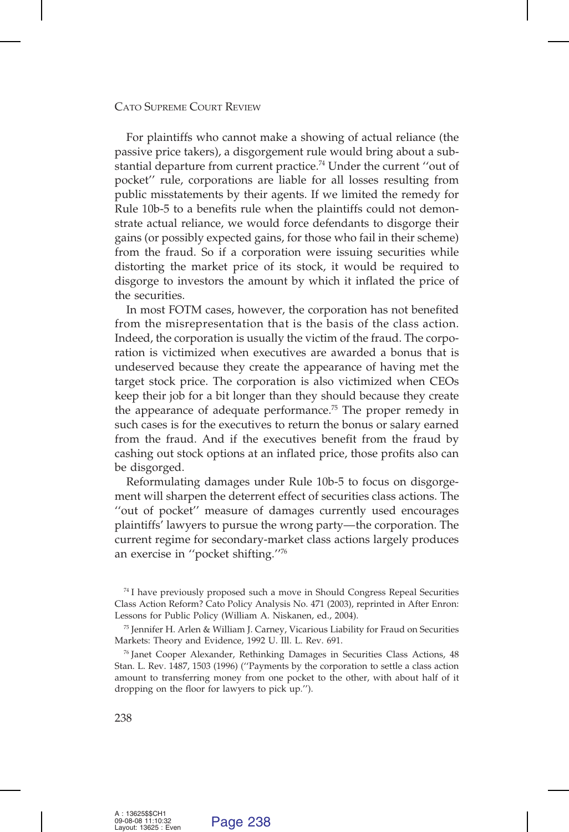For plaintiffs who cannot make a showing of actual reliance (the passive price takers), a disgorgement rule would bring about a substantial departure from current practice.<sup>74</sup> Under the current "out of pocket'' rule, corporations are liable for all losses resulting from public misstatements by their agents. If we limited the remedy for Rule 10b-5 to a benefits rule when the plaintiffs could not demonstrate actual reliance, we would force defendants to disgorge their gains (or possibly expected gains, for those who fail in their scheme) from the fraud. So if a corporation were issuing securities while distorting the market price of its stock, it would be required to disgorge to investors the amount by which it inflated the price of the securities.

In most FOTM cases, however, the corporation has not benefited from the misrepresentation that is the basis of the class action. Indeed, the corporation is usually the victim of the fraud. The corporation is victimized when executives are awarded a bonus that is undeserved because they create the appearance of having met the target stock price. The corporation is also victimized when CEOs keep their job for a bit longer than they should because they create the appearance of adequate performance.<sup>75</sup> The proper remedy in such cases is for the executives to return the bonus or salary earned from the fraud. And if the executives benefit from the fraud by cashing out stock options at an inflated price, those profits also can be disgorged.

Reformulating damages under Rule 10b-5 to focus on disgorgement will sharpen the deterrent effect of securities class actions. The ''out of pocket'' measure of damages currently used encourages plaintiffs' lawyers to pursue the wrong party—the corporation. The current regime for secondary-market class actions largely produces an exercise in ''pocket shifting.''76

<sup>&</sup>lt;sup>74</sup> I have previously proposed such a move in Should Congress Repeal Securities Class Action Reform? Cato Policy Analysis No. 471 (2003), reprinted in After Enron: Lessons for Public Policy (William A. Niskanen, ed., 2004).

<sup>75</sup> Jennifer H. Arlen & William J. Carney, Vicarious Liability for Fraud on Securities Markets: Theory and Evidence, 1992 U. Ill. L. Rev. 691.

<sup>76</sup> Janet Cooper Alexander, Rethinking Damages in Securities Class Actions, 48 Stan. L. Rev. 1487, 1503 (1996) (''Payments by the corporation to settle a class action amount to transferring money from one pocket to the other, with about half of it dropping on the floor for lawyers to pick up.'').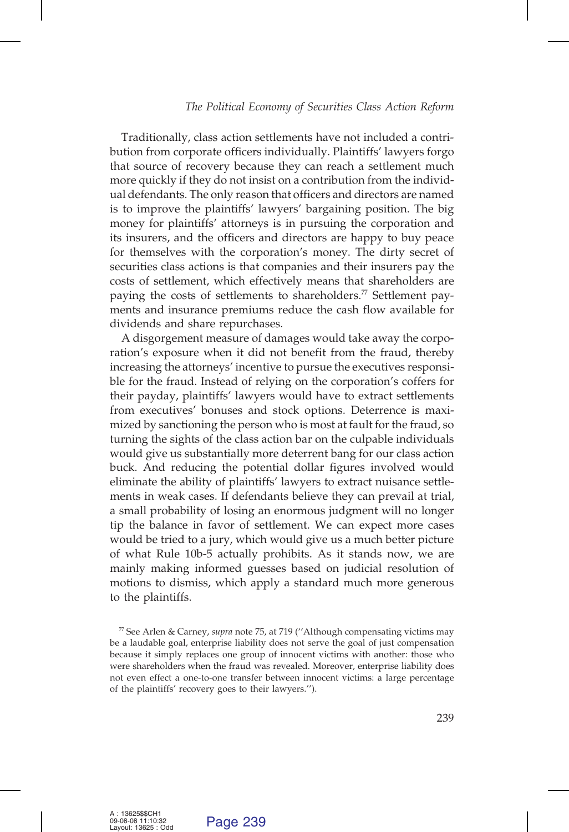Traditionally, class action settlements have not included a contribution from corporate officers individually. Plaintiffs' lawyers forgo that source of recovery because they can reach a settlement much more quickly if they do not insist on a contribution from the individual defendants. The only reason that officers and directors are named is to improve the plaintiffs' lawyers' bargaining position. The big money for plaintiffs' attorneys is in pursuing the corporation and its insurers, and the officers and directors are happy to buy peace for themselves with the corporation's money. The dirty secret of securities class actions is that companies and their insurers pay the costs of settlement, which effectively means that shareholders are paying the costs of settlements to shareholders.<sup>77</sup> Settlement payments and insurance premiums reduce the cash flow available for dividends and share repurchases.

A disgorgement measure of damages would take away the corporation's exposure when it did not benefit from the fraud, thereby increasing the attorneys' incentive to pursue the executives responsible for the fraud. Instead of relying on the corporation's coffers for their payday, plaintiffs' lawyers would have to extract settlements from executives' bonuses and stock options. Deterrence is maximized by sanctioning the person who is most at fault for the fraud, so turning the sights of the class action bar on the culpable individuals would give us substantially more deterrent bang for our class action buck. And reducing the potential dollar figures involved would eliminate the ability of plaintiffs' lawyers to extract nuisance settlements in weak cases. If defendants believe they can prevail at trial, a small probability of losing an enormous judgment will no longer tip the balance in favor of settlement. We can expect more cases would be tried to a jury, which would give us a much better picture of what Rule 10b-5 actually prohibits. As it stands now, we are mainly making informed guesses based on judicial resolution of motions to dismiss, which apply a standard much more generous to the plaintiffs.



<sup>77</sup> See Arlen & Carney, *supra* note 75, at 719 (''Although compensating victims may be a laudable goal, enterprise liability does not serve the goal of just compensation because it simply replaces one group of innocent victims with another: those who were shareholders when the fraud was revealed. Moreover, enterprise liability does not even effect a one-to-one transfer between innocent victims: a large percentage of the plaintiffs' recovery goes to their lawyers.'').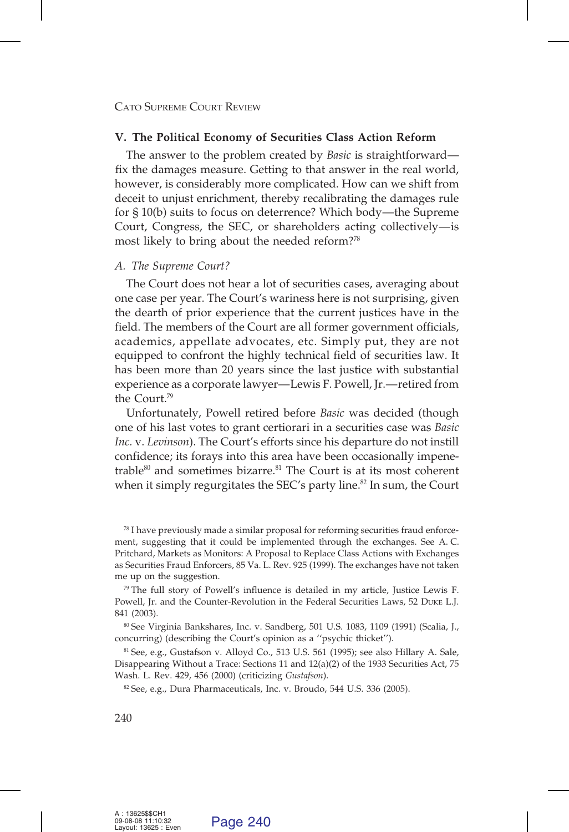#### **V. The Political Economy of Securities Class Action Reform**

The answer to the problem created by *Basic* is straightforward fix the damages measure. Getting to that answer in the real world, however, is considerably more complicated. How can we shift from deceit to unjust enrichment, thereby recalibrating the damages rule for § 10(b) suits to focus on deterrence? Which body—the Supreme Court, Congress, the SEC, or shareholders acting collectively—is most likely to bring about the needed reform?<sup>78</sup>

#### *A. The Supreme Court?*

The Court does not hear a lot of securities cases, averaging about one case per year. The Court's wariness here is not surprising, given the dearth of prior experience that the current justices have in the field. The members of the Court are all former government officials, academics, appellate advocates, etc. Simply put, they are not equipped to confront the highly technical field of securities law. It has been more than 20 years since the last justice with substantial experience as a corporate lawyer—Lewis F. Powell, Jr.—retired from the Court.79

Unfortunately, Powell retired before *Basic* was decided (though one of his last votes to grant certiorari in a securities case was *Basic Inc.* v. *Levinson*). The Court's efforts since his departure do not instill confidence; its forays into this area have been occasionally impenetrable $80$  and sometimes bizarre. $81$  The Court is at its most coherent when it simply regurgitates the SEC's party line.<sup>82</sup> In sum, the Court

 $78$  I have previously made a similar proposal for reforming securities fraud enforcement, suggesting that it could be implemented through the exchanges. See A. C. Pritchard, Markets as Monitors: A Proposal to Replace Class Actions with Exchanges as Securities Fraud Enforcers, 85 Va. L. Rev. 925 (1999). The exchanges have not taken me up on the suggestion.

 $79$  The full story of Powell's influence is detailed in my article, Justice Lewis F. Powell, Jr. and the Counter-Revolution in the Federal Securities Laws, 52 DUKE L.J. 841 (2003).

<sup>80</sup> See Virginia Bankshares, Inc. v. Sandberg, 501 U.S. 1083, 1109 (1991) (Scalia, J., concurring) (describing the Court's opinion as a ''psychic thicket'').

<sup>81</sup> See, e.g., Gustafson v. Alloyd Co., 513 U.S. 561 (1995); see also Hillary A. Sale, Disappearing Without a Trace: Sections 11 and 12(a)(2) of the 1933 Securities Act, 75 Wash. L. Rev. 429, 456 (2000) (criticizing *Gustafson*).

 $82$  See, e.g., Dura Pharmaceuticals, Inc. v. Broudo, 544 U.S. 336 (2005).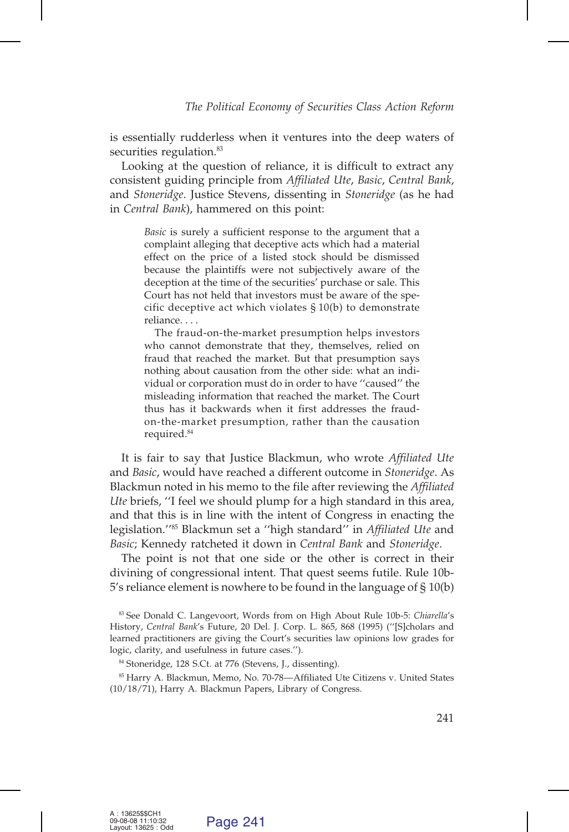is essentially rudderless when it ventures into the deep waters of securities regulation.<sup>83</sup>

Looking at the question of reliance, it is difficult to extract any consistent guiding principle from *Affiliated Ute*, *Basic*, *Central Bank*, and *Stoneridge*. Justice Stevens, dissenting in *Stoneridge* (as he had in *Central Bank*), hammered on this point:

*Basic* is surely a sufficient response to the argument that a complaint alleging that deceptive acts which had a material effect on the price of a listed stock should be dismissed because the plaintiffs were not subjectively aware of the deception at the time of the securities' purchase or sale. This Court has not held that investors must be aware of the specific deceptive act which violates § 10(b) to demonstrate reliance. . . .

The fraud-on-the-market presumption helps investors who cannot demonstrate that they, themselves, relied on fraud that reached the market. But that presumption says nothing about causation from the other side: what an individual or corporation must do in order to have ''caused'' the misleading information that reached the market. The Court thus has it backwards when it first addresses the fraudon-the-market presumption, rather than the causation required.<sup>84</sup>

It is fair to say that Justice Blackmun, who wrote *Affiliated Ute* and *Basic*, would have reached a different outcome in *Stoneridge*. As Blackmun noted in his memo to the file after reviewing the *Affiliated Ute* briefs, ''I feel we should plump for a high standard in this area, and that this is in line with the intent of Congress in enacting the legislation.''85 Blackmun set a ''high standard'' in *Affiliated Ute* and *Basic*; Kennedy ratcheted it down in *Central Bank* and *Stoneridge*.

The point is not that one side or the other is correct in their divining of congressional intent. That quest seems futile. Rule 10b-5's reliance element is nowhere to be found in the language of § 10(b)

<sup>85</sup> Harry A. Blackmun, Memo, No. 70-78—Affiliated Ute Citizens v. United States (10/18/71), Harry A. Blackmun Papers, Library of Congress.

<sup>83</sup> See Donald C. Langevoort, Words from on High About Rule 10b-5: *Chiarella*'s History, *Central Bank*'s Future, 20 Del. J. Corp. L. 865, 868 (1995) (''[S]cholars and learned practitioners are giving the Court's securities law opinions low grades for logic, clarity, and usefulness in future cases.'').

<sup>84</sup> Stoneridge, 128 S.Ct. at 776 (Stevens, J., dissenting).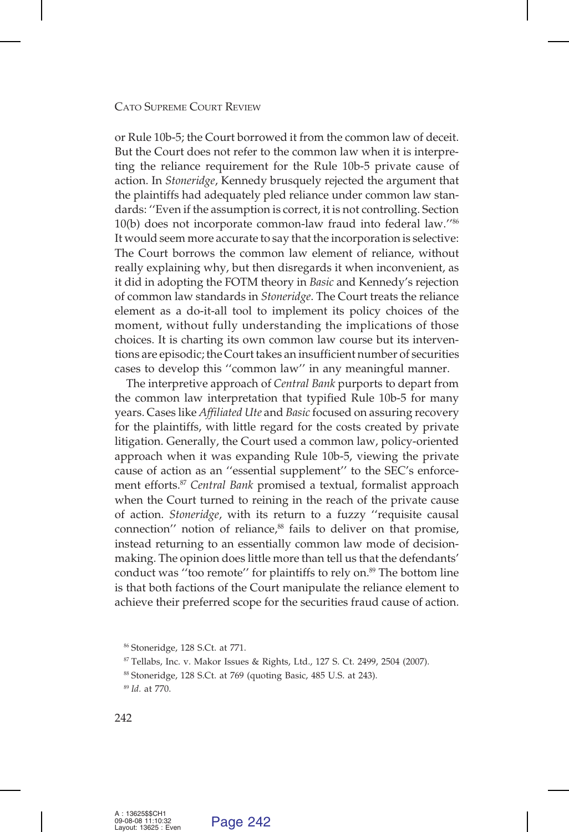or Rule 10b-5; the Court borrowed it from the common law of deceit. But the Court does not refer to the common law when it is interpreting the reliance requirement for the Rule 10b-5 private cause of action. In *Stoneridge*, Kennedy brusquely rejected the argument that the plaintiffs had adequately pled reliance under common law standards: ''Even if the assumption is correct, it is not controlling. Section 10(b) does not incorporate common-law fraud into federal law.''86 It would seem more accurate to say that the incorporation is selective: The Court borrows the common law element of reliance, without really explaining why, but then disregards it when inconvenient, as it did in adopting the FOTM theory in *Basic* and Kennedy's rejection of common law standards in *Stoneridge*. The Court treats the reliance element as a do-it-all tool to implement its policy choices of the moment, without fully understanding the implications of those choices. It is charting its own common law course but its interventions are episodic; the Court takes an insufficient number of securities cases to develop this ''common law'' in any meaningful manner.

The interpretive approach of *Central Bank* purports to depart from the common law interpretation that typified Rule 10b-5 for many years. Cases like *Affiliated Ute* and *Basic* focused on assuring recovery for the plaintiffs, with little regard for the costs created by private litigation. Generally, the Court used a common law, policy-oriented approach when it was expanding Rule 10b-5, viewing the private cause of action as an ''essential supplement'' to the SEC's enforcement efforts.87 *Central Bank* promised a textual, formalist approach when the Court turned to reining in the reach of the private cause of action. *Stoneridge*, with its return to a fuzzy ''requisite causal connection" notion of reliance,<sup>88</sup> fails to deliver on that promise, instead returning to an essentially common law mode of decisionmaking. The opinion does little more than tell us that the defendants' conduct was "too remote" for plaintiffs to rely on.<sup>89</sup> The bottom line is that both factions of the Court manipulate the reliance element to achieve their preferred scope for the securities fraud cause of action.

<sup>86</sup> Stoneridge, 128 S.Ct. at 771.

<sup>87</sup> Tellabs, Inc. v. Makor Issues & Rights, Ltd., 127 S. Ct. 2499, 2504 (2007).

<sup>88</sup> Stoneridge, 128 S.Ct. at 769 (quoting Basic, 485 U.S. at 243).

<sup>89</sup> *Id.* at 770.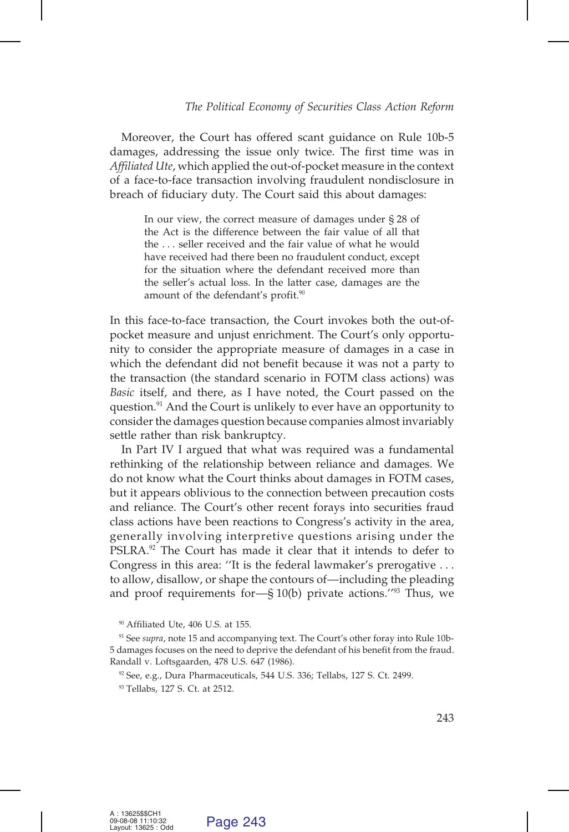Moreover, the Court has offered scant guidance on Rule 10b-5 damages, addressing the issue only twice. The first time was in *Affiliated Ute*, which applied the out-of-pocket measure in the context of a face-to-face transaction involving fraudulent nondisclosure in breach of fiduciary duty. The Court said this about damages:

In our view, the correct measure of damages under § 28 of the Act is the difference between the fair value of all that the . . . seller received and the fair value of what he would have received had there been no fraudulent conduct, except for the situation where the defendant received more than the seller's actual loss. In the latter case, damages are the amount of the defendant's profit.<sup>90</sup>

In this face-to-face transaction, the Court invokes both the out-ofpocket measure and unjust enrichment. The Court's only opportunity to consider the appropriate measure of damages in a case in which the defendant did not benefit because it was not a party to the transaction (the standard scenario in FOTM class actions) was *Basic* itself, and there, as I have noted, the Court passed on the question.<sup>91</sup> And the Court is unlikely to ever have an opportunity to consider the damages question because companies almost invariably settle rather than risk bankruptcy.

In Part IV I argued that what was required was a fundamental rethinking of the relationship between reliance and damages. We do not know what the Court thinks about damages in FOTM cases, but it appears oblivious to the connection between precaution costs and reliance. The Court's other recent forays into securities fraud class actions have been reactions to Congress's activity in the area, generally involving interpretive questions arising under the PSLRA.<sup>92</sup> The Court has made it clear that it intends to defer to Congress in this area: ''It is the federal lawmaker's prerogative . . . to allow, disallow, or shape the contours of—including the pleading and proof requirements for—§ 10(b) private actions.<sup> $\frac{7}{93}$ </sup> Thus, we



<sup>&</sup>lt;sup>90</sup> Affiliated Ute, 406 U.S. at 155.

<sup>&</sup>lt;sup>91</sup> See *supra*, note 15 and accompanying text. The Court's other foray into Rule 10b-5 damages focuses on the need to deprive the defendant of his benefit from the fraud. Randall v. Loftsgaarden, 478 U.S. 647 (1986).

 $92$  See, e.g., Dura Pharmaceuticals, 544 U.S. 336; Tellabs, 127 S. Ct. 2499.

<sup>93</sup> Tellabs, 127 S. Ct. at 2512.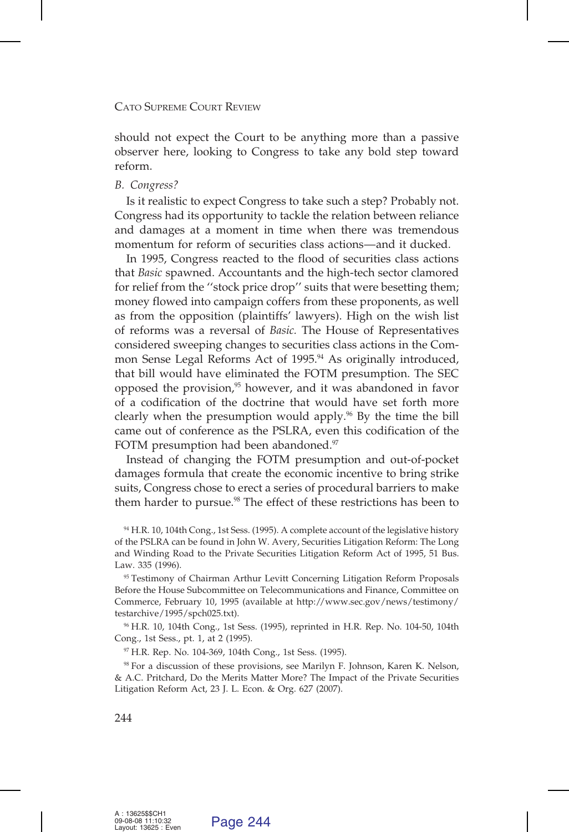should not expect the Court to be anything more than a passive observer here, looking to Congress to take any bold step toward reform.

#### *B. Congress?*

Is it realistic to expect Congress to take such a step? Probably not. Congress had its opportunity to tackle the relation between reliance and damages at a moment in time when there was tremendous momentum for reform of securities class actions—and it ducked.

In 1995, Congress reacted to the flood of securities class actions that *Basic* spawned. Accountants and the high-tech sector clamored for relief from the ''stock price drop'' suits that were besetting them; money flowed into campaign coffers from these proponents, as well as from the opposition (plaintiffs' lawyers). High on the wish list of reforms was a reversal of *Basic.* The House of Representatives considered sweeping changes to securities class actions in the Common Sense Legal Reforms Act of 1995.<sup>94</sup> As originally introduced, that bill would have eliminated the FOTM presumption. The SEC opposed the provision,<sup>95</sup> however, and it was abandoned in favor of a codification of the doctrine that would have set forth more clearly when the presumption would apply.<sup>96</sup> By the time the bill came out of conference as the PSLRA, even this codification of the FOTM presumption had been abandoned.<sup>97</sup>

Instead of changing the FOTM presumption and out-of-pocket damages formula that create the economic incentive to bring strike suits, Congress chose to erect a series of procedural barriers to make them harder to pursue.<sup>98</sup> The effect of these restrictions has been to

<sup>96</sup> H.R. 10, 104th Cong., 1st Sess. (1995), reprinted in H.R. Rep. No. 104-50, 104th Cong., 1st Sess., pt. 1, at 2 (1995).

<sup>97</sup> H.R. Rep. No. 104-369, 104th Cong., 1st Sess. (1995).

<sup>98</sup> For a discussion of these provisions, see Marilyn F. Johnson, Karen K. Nelson, & A.C. Pritchard, Do the Merits Matter More? The Impact of the Private Securities Litigation Reform Act, 23 J. L. Econ. & Org. 627 (2007).

 $94$  H.R. 10, 104th Cong., 1st Sess. (1995). A complete account of the legislative history of the PSLRA can be found in John W. Avery, Securities Litigation Reform: The Long and Winding Road to the Private Securities Litigation Reform Act of 1995, 51 Bus. Law. 335 (1996).

<sup>95</sup> Testimony of Chairman Arthur Levitt Concerning Litigation Reform Proposals Before the House Subcommittee on Telecommunications and Finance, Committee on Commerce, February 10, 1995 (available at http://www.sec.gov/news/testimony/ testarchive/1995/spch025.txt).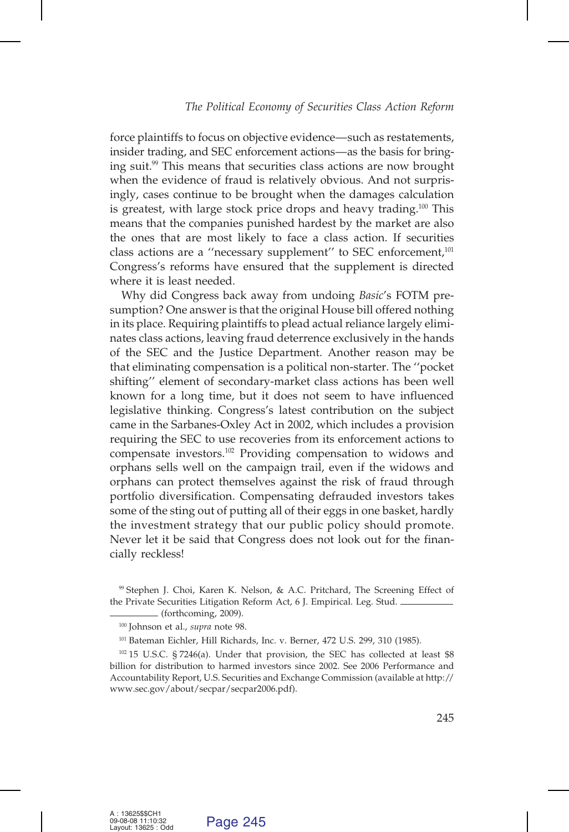force plaintiffs to focus on objective evidence—such as restatements, insider trading, and SEC enforcement actions—as the basis for bringing suit.<sup>99</sup> This means that securities class actions are now brought when the evidence of fraud is relatively obvious. And not surprisingly, cases continue to be brought when the damages calculation is greatest, with large stock price drops and heavy trading.<sup>100</sup> This means that the companies punished hardest by the market are also the ones that are most likely to face a class action. If securities class actions are a "necessary supplement" to SEC enforcement,<sup>101</sup> Congress's reforms have ensured that the supplement is directed where it is least needed.

Why did Congress back away from undoing *Basic*'s FOTM presumption? One answer is that the original House bill offered nothing in its place. Requiring plaintiffs to plead actual reliance largely eliminates class actions, leaving fraud deterrence exclusively in the hands of the SEC and the Justice Department. Another reason may be that eliminating compensation is a political non-starter. The ''pocket shifting'' element of secondary-market class actions has been well known for a long time, but it does not seem to have influenced legislative thinking. Congress's latest contribution on the subject came in the Sarbanes-Oxley Act in 2002, which includes a provision requiring the SEC to use recoveries from its enforcement actions to compensate investors.102 Providing compensation to widows and orphans sells well on the campaign trail, even if the widows and orphans can protect themselves against the risk of fraud through portfolio diversification. Compensating defrauded investors takes some of the sting out of putting all of their eggs in one basket, hardly the investment strategy that our public policy should promote. Never let it be said that Congress does not look out for the financially reckless!



<sup>99</sup> Stephen J. Choi, Karen K. Nelson, & A.C. Pritchard, The Screening Effect of the Private Securities Litigation Reform Act, 6 J. Empirical. Leg. Stud.

<sup>(</sup>forthcoming, 2009).

<sup>100</sup> Johnson et al., *supra* note 98.

<sup>101</sup> Bateman Eichler, Hill Richards, Inc. v. Berner, 472 U.S. 299, 310 (1985).

<sup>&</sup>lt;sup>102</sup> 15 U.S.C. § 7246(a). Under that provision, the SEC has collected at least \$8 billion for distribution to harmed investors since 2002. See 2006 Performance and Accountability Report, U.S. Securities and Exchange Commission (available at http:// www.sec.gov/about/secpar/secpar2006.pdf).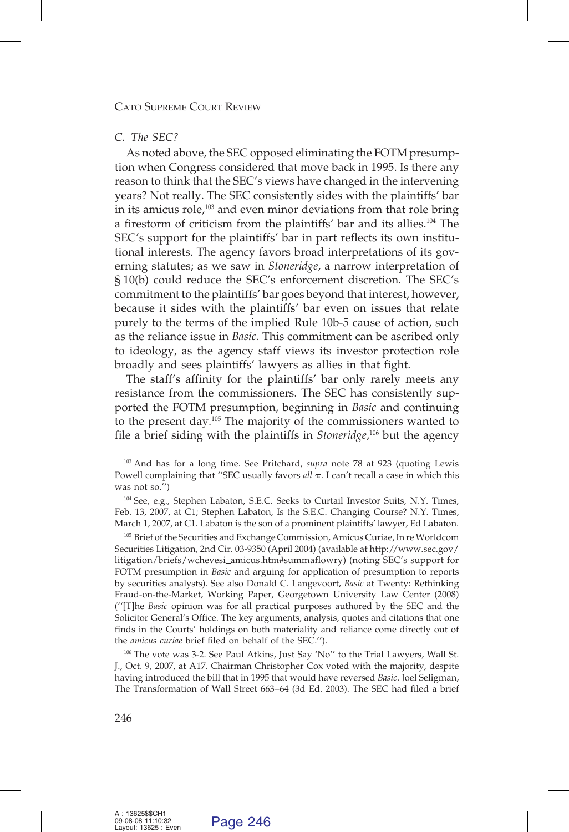#### *C. The SEC?*

As noted above, the SEC opposed eliminating the FOTM presumption when Congress considered that move back in 1995. Is there any reason to think that the SEC's views have changed in the intervening years? Not really. The SEC consistently sides with the plaintiffs' bar in its amicus role, $103$  and even minor deviations from that role bring a firestorm of criticism from the plaintiffs' bar and its allies.104 The SEC's support for the plaintiffs' bar in part reflects its own institutional interests. The agency favors broad interpretations of its governing statutes; as we saw in *Stoneridge*, a narrow interpretation of § 10(b) could reduce the SEC's enforcement discretion. The SEC's commitment to the plaintiffs' bar goes beyond that interest, however, because it sides with the plaintiffs' bar even on issues that relate purely to the terms of the implied Rule 10b-5 cause of action, such as the reliance issue in *Basic*. This commitment can be ascribed only to ideology, as the agency staff views its investor protection role broadly and sees plaintiffs' lawyers as allies in that fight.

The staff's affinity for the plaintiffs' bar only rarely meets any resistance from the commissioners. The SEC has consistently supported the FOTM presumption, beginning in *Basic* and continuing to the present day.105 The majority of the commissioners wanted to file a brief siding with the plaintiffs in *Stoneridge*, <sup>106</sup> but the agency

<sup>103</sup> And has for a long time. See Pritchard, *supra* note 78 at 923 (quoting Lewis Powell complaining that "SEC usually favors all  $\pi$ . I can't recall a case in which this was not so.'')

104 See, e.g., Stephen Labaton, S.E.C. Seeks to Curtail Investor Suits, N.Y. Times, Feb. 13, 2007, at C1; Stephen Labaton, Is the S.E.C. Changing Course? N.Y. Times, March 1, 2007, at C1. Labaton is the son of a prominent plaintiffs' lawyer, Ed Labaton.

<sup>105</sup> Brief of the Securities and Exchange Commission, Amicus Curiae, In re Worldcom Securities Litigation, 2nd Cir. 03-9350 (April 2004) (available at http://www.sec.gov/ litigation/briefs/wchevesi\_amicus.htm#summaflowry) (noting SEC's support for FOTM presumption in *Basic* and arguing for application of presumption to reports by securities analysts). See also Donald C. Langevoort, *Basic* at Twenty: Rethinking Fraud-on-the-Market, Working Paper, Georgetown University Law Center (2008) (''[T]he *Basic* opinion was for all practical purposes authored by the SEC and the Solicitor General's Office. The key arguments, analysis, quotes and citations that one finds in the Courts' holdings on both materiality and reliance come directly out of the *amicus curiae* brief filed on behalf of the SEC.'').

<sup>106</sup> The vote was 3-2. See Paul Atkins, Just Say 'No" to the Trial Lawyers, Wall St. J., Oct. 9, 2007, at A17. Chairman Christopher Cox voted with the majority, despite having introduced the bill that in 1995 that would have reversed *Basic*. Joel Seligman, The Transformation of Wall Street 663–64 (3d Ed. 2003). The SEC had filed a brief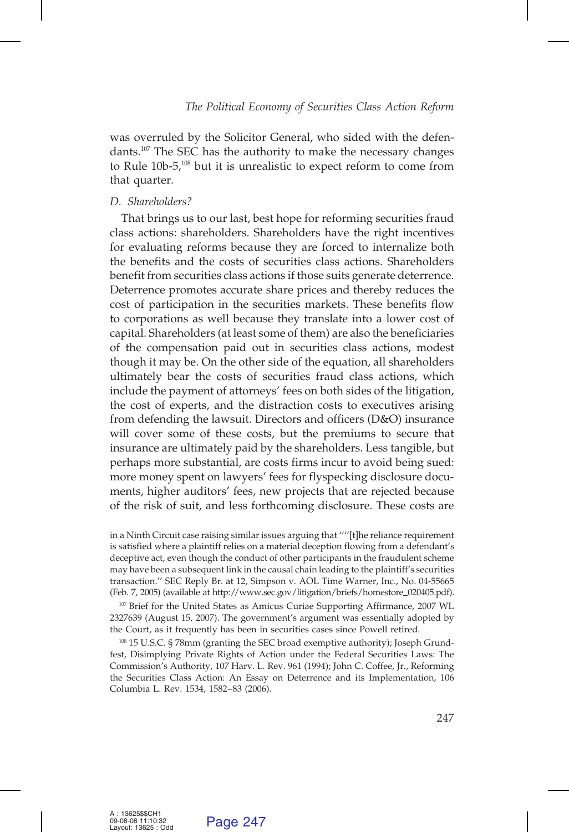was overruled by the Solicitor General, who sided with the defendants.<sup>107</sup> The SEC has the authority to make the necessary changes to Rule 10b-5,<sup>108</sup> but it is unrealistic to expect reform to come from that quarter.

#### *D. Shareholders?*

That brings us to our last, best hope for reforming securities fraud class actions: shareholders. Shareholders have the right incentives for evaluating reforms because they are forced to internalize both the benefits and the costs of securities class actions. Shareholders benefit from securities class actions if those suits generate deterrence. Deterrence promotes accurate share prices and thereby reduces the cost of participation in the securities markets. These benefits flow to corporations as well because they translate into a lower cost of capital. Shareholders (at least some of them) are also the beneficiaries of the compensation paid out in securities class actions, modest though it may be. On the other side of the equation, all shareholders ultimately bear the costs of securities fraud class actions, which include the payment of attorneys' fees on both sides of the litigation, the cost of experts, and the distraction costs to executives arising from defending the lawsuit. Directors and officers (D&O) insurance will cover some of these costs, but the premiums to secure that insurance are ultimately paid by the shareholders. Less tangible, but perhaps more substantial, are costs firms incur to avoid being sued: more money spent on lawyers' fees for flyspecking disclosure documents, higher auditors' fees, new projects that are rejected because of the risk of suit, and less forthcoming disclosure. These costs are

in a Ninth Circuit case raising similar issues arguing that ''''[t]he reliance requirement is satisfied where a plaintiff relies on a material deception flowing from a defendant's deceptive act, even though the conduct of other participants in the fraudulent scheme may have been a subsequent link in the causal chain leading to the plaintiff's securities transaction.'' SEC Reply Br. at 12, Simpson v. AOL Time Warner, Inc., No. 04-55665 (Feb. 7, 2005) (available at http://www.sec.gov/litigation/briefs/homestore 020405.pdf).

107 Brief for the United States as Amicus Curiae Supporting Affirmance, 2007 WL 2327639 (August 15, 2007). The government's argument was essentially adopted by the Court, as it frequently has been in securities cases since Powell retired.

<sup>108</sup> 15 U.S.C. § 78mm (granting the SEC broad exemptive authority); Joseph Grundfest, Disimplying Private Rights of Action under the Federal Securities Laws: The Commission's Authority, 107 Harv. L. Rev. 961 (1994); John C. Coffee, Jr., Reforming the Securities Class Action: An Essay on Deterrence and its Implementation, 106 Columbia L. Rev. 1534, 1582–83 (2006).

A : 13625\$\$CH1 09-08-08 11:10:32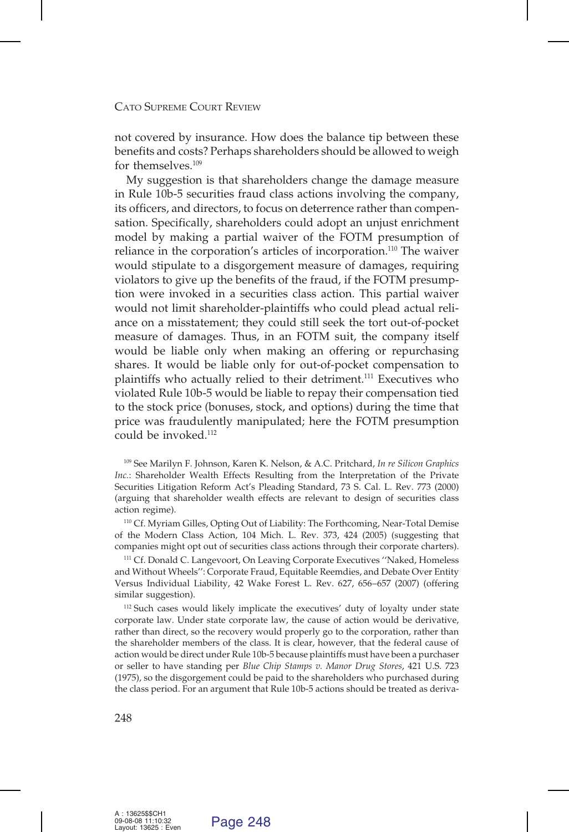not covered by insurance. How does the balance tip between these benefits and costs? Perhaps shareholders should be allowed to weigh for themselves.<sup>109</sup>

My suggestion is that shareholders change the damage measure in Rule 10b-5 securities fraud class actions involving the company, its officers, and directors, to focus on deterrence rather than compensation. Specifically, shareholders could adopt an unjust enrichment model by making a partial waiver of the FOTM presumption of reliance in the corporation's articles of incorporation.110 The waiver would stipulate to a disgorgement measure of damages, requiring violators to give up the benefits of the fraud, if the FOTM presumption were invoked in a securities class action. This partial waiver would not limit shareholder-plaintiffs who could plead actual reliance on a misstatement; they could still seek the tort out-of-pocket measure of damages. Thus, in an FOTM suit, the company itself would be liable only when making an offering or repurchasing shares. It would be liable only for out-of-pocket compensation to plaintiffs who actually relied to their detriment.111 Executives who violated Rule 10b-5 would be liable to repay their compensation tied to the stock price (bonuses, stock, and options) during the time that price was fraudulently manipulated; here the FOTM presumption could be invoked.112

<sup>110</sup> Cf. Myriam Gilles, Opting Out of Liability: The Forthcoming, Near-Total Demise of the Modern Class Action, 104 Mich. L. Rev. 373, 424 (2005) (suggesting that companies might opt out of securities class actions through their corporate charters).

<sup>111</sup> Cf. Donald C. Langevoort, On Leaving Corporate Executives "Naked, Homeless and Without Wheels'': Corporate Fraud, Equitable Reemdies, and Debate Over Entity Versus Individual Liability, 42 Wake Forest L. Rev. 627, 656–657 (2007) (offering similar suggestion).

<sup>112</sup> Such cases would likely implicate the executives' duty of loyalty under state corporate law. Under state corporate law, the cause of action would be derivative, rather than direct, so the recovery would properly go to the corporation, rather than the shareholder members of the class. It is clear, however, that the federal cause of action would be direct under Rule 10b-5 because plaintiffs must have been a purchaser or seller to have standing per *Blue Chip Stamps v. Manor Drug Stores*, 421 U.S. 723 (1975), so the disgorgement could be paid to the shareholders who purchased during the class period. For an argument that Rule 10b-5 actions should be treated as deriva-

248

<sup>109</sup> See Marilyn F. Johnson, Karen K. Nelson, & A.C. Pritchard, *In re Silicon Graphics Inc.*: Shareholder Wealth Effects Resulting from the Interpretation of the Private Securities Litigation Reform Act's Pleading Standard, 73 S. Cal. L. Rev. 773 (2000) (arguing that shareholder wealth effects are relevant to design of securities class action regime).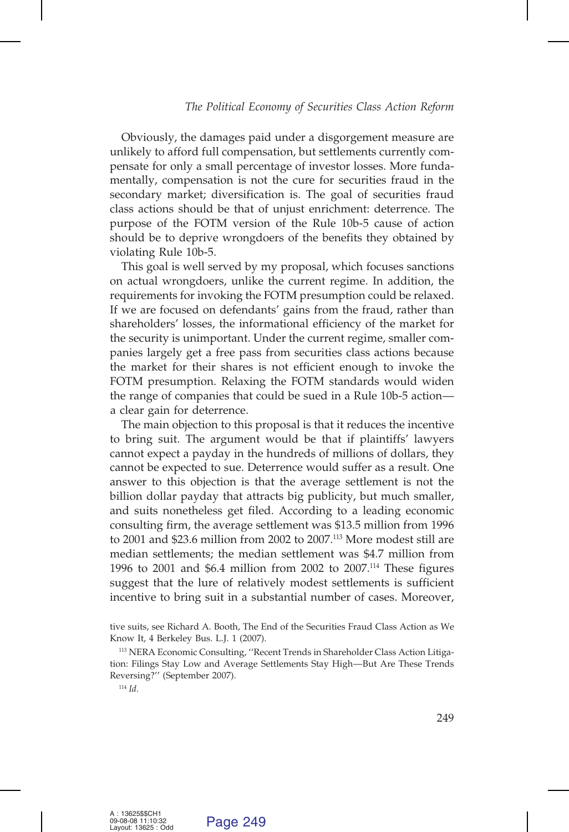Obviously, the damages paid under a disgorgement measure are unlikely to afford full compensation, but settlements currently compensate for only a small percentage of investor losses. More fundamentally, compensation is not the cure for securities fraud in the secondary market; diversification is. The goal of securities fraud class actions should be that of unjust enrichment: deterrence. The purpose of the FOTM version of the Rule 10b-5 cause of action should be to deprive wrongdoers of the benefits they obtained by violating Rule 10b-5.

This goal is well served by my proposal, which focuses sanctions on actual wrongdoers, unlike the current regime. In addition, the requirements for invoking the FOTM presumption could be relaxed. If we are focused on defendants' gains from the fraud, rather than shareholders' losses, the informational efficiency of the market for the security is unimportant. Under the current regime, smaller companies largely get a free pass from securities class actions because the market for their shares is not efficient enough to invoke the FOTM presumption. Relaxing the FOTM standards would widen the range of companies that could be sued in a Rule 10b-5 action a clear gain for deterrence.

The main objection to this proposal is that it reduces the incentive to bring suit. The argument would be that if plaintiffs' lawyers cannot expect a payday in the hundreds of millions of dollars, they cannot be expected to sue. Deterrence would suffer as a result. One answer to this objection is that the average settlement is not the billion dollar payday that attracts big publicity, but much smaller, and suits nonetheless get filed. According to a leading economic consulting firm, the average settlement was \$13.5 million from 1996 to 2001 and \$23.6 million from 2002 to 2007.113 More modest still are median settlements; the median settlement was \$4.7 million from 1996 to 2001 and \$6.4 million from 2002 to 2007.114 These figures suggest that the lure of relatively modest settlements is sufficient incentive to bring suit in a substantial number of cases. Moreover,

Page 249

A : 13625\$\$CH1 09-08-08 11:10:32

tive suits, see Richard A. Booth, The End of the Securities Fraud Class Action as We Know It, 4 Berkeley Bus. L.J. 1 (2007).

<sup>113</sup> NERA Economic Consulting, ''Recent Trends in Shareholder Class Action Litigation: Filings Stay Low and Average Settlements Stay High—But Are These Trends Reversing?'' (September 2007).

<sup>114</sup> *Id.*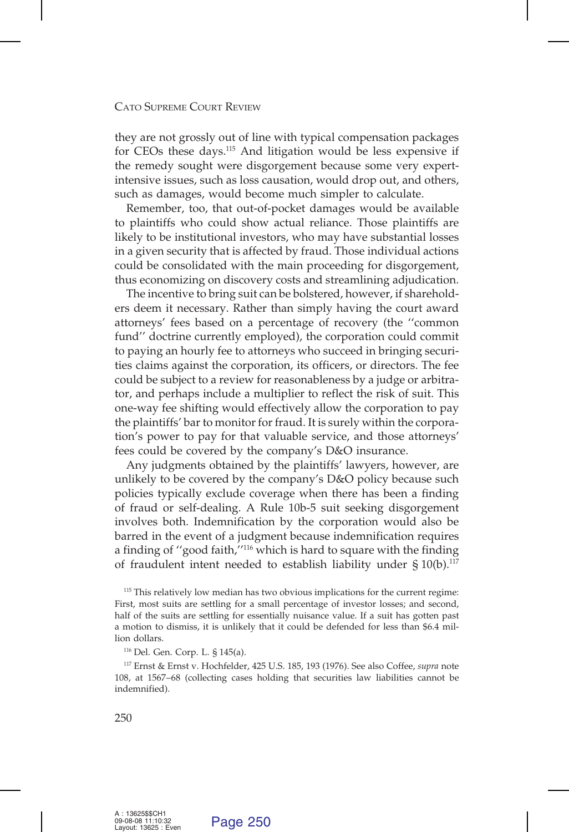they are not grossly out of line with typical compensation packages for CEOs these days.115 And litigation would be less expensive if the remedy sought were disgorgement because some very expertintensive issues, such as loss causation, would drop out, and others, such as damages, would become much simpler to calculate.

Remember, too, that out-of-pocket damages would be available to plaintiffs who could show actual reliance. Those plaintiffs are likely to be institutional investors, who may have substantial losses in a given security that is affected by fraud. Those individual actions could be consolidated with the main proceeding for disgorgement, thus economizing on discovery costs and streamlining adjudication.

The incentive to bring suit can be bolstered, however, if shareholders deem it necessary. Rather than simply having the court award attorneys' fees based on a percentage of recovery (the ''common fund'' doctrine currently employed), the corporation could commit to paying an hourly fee to attorneys who succeed in bringing securities claims against the corporation, its officers, or directors. The fee could be subject to a review for reasonableness by a judge or arbitrator, and perhaps include a multiplier to reflect the risk of suit. This one-way fee shifting would effectively allow the corporation to pay the plaintiffs' bar to monitor for fraud. It is surely within the corporation's power to pay for that valuable service, and those attorneys' fees could be covered by the company's D&O insurance.

Any judgments obtained by the plaintiffs' lawyers, however, are unlikely to be covered by the company's D&O policy because such policies typically exclude coverage when there has been a finding of fraud or self-dealing. A Rule 10b-5 suit seeking disgorgement involves both. Indemnification by the corporation would also be barred in the event of a judgment because indemnification requires a finding of ''good faith,''116 which is hard to square with the finding of fraudulent intent needed to establish liability under  $\S 10(b)$ .<sup>117</sup>

<sup>115</sup> This relatively low median has two obvious implications for the current regime: First, most suits are settling for a small percentage of investor losses; and second, half of the suits are settling for essentially nuisance value. If a suit has gotten past a motion to dismiss, it is unlikely that it could be defended for less than \$6.4 million dollars.

<sup>116</sup> Del. Gen. Corp. L. § 145(a).

<sup>117</sup> Ernst & Ernst v. Hochfelder, 425 U.S. 185, 193 (1976). See also Coffee, *supra* note 108, at 1567–68 (collecting cases holding that securities law liabilities cannot be indemnified).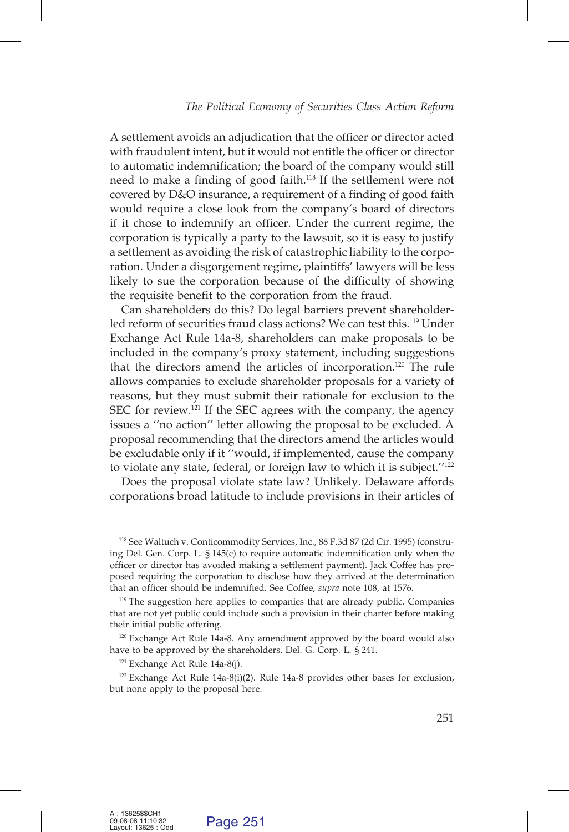A settlement avoids an adjudication that the officer or director acted with fraudulent intent, but it would not entitle the officer or director to automatic indemnification; the board of the company would still need to make a finding of good faith.<sup>118</sup> If the settlement were not covered by D&O insurance, a requirement of a finding of good faith would require a close look from the company's board of directors if it chose to indemnify an officer. Under the current regime, the corporation is typically a party to the lawsuit, so it is easy to justify a settlement as avoiding the risk of catastrophic liability to the corporation. Under a disgorgement regime, plaintiffs' lawyers will be less likely to sue the corporation because of the difficulty of showing the requisite benefit to the corporation from the fraud.

Can shareholders do this? Do legal barriers prevent shareholderled reform of securities fraud class actions? We can test this.<sup>119</sup> Under Exchange Act Rule 14a-8, shareholders can make proposals to be included in the company's proxy statement, including suggestions that the directors amend the articles of incorporation.<sup>120</sup> The rule allows companies to exclude shareholder proposals for a variety of reasons, but they must submit their rationale for exclusion to the SEC for review.<sup>121</sup> If the SEC agrees with the company, the agency issues a ''no action'' letter allowing the proposal to be excluded. A proposal recommending that the directors amend the articles would be excludable only if it ''would, if implemented, cause the company to violate any state, federal, or foreign law to which it is subject."<sup>122</sup>

Does the proposal violate state law? Unlikely. Delaware affords corporations broad latitude to include provisions in their articles of

<sup>118</sup> See Waltuch v. Conticommodity Services, Inc., 88 F.3d 87 (2d Cir. 1995) (construing Del. Gen. Corp. L. § 145(c) to require automatic indemnification only when the officer or director has avoided making a settlement payment). Jack Coffee has proposed requiring the corporation to disclose how they arrived at the determination that an officer should be indemnified. See Coffee, *supra* note 108, at 1576.

 $119$  The suggestion here applies to companies that are already public. Companies that are not yet public could include such a provision in their charter before making their initial public offering.

 $120$  Exchange Act Rule 14a-8. Any amendment approved by the board would also have to be approved by the shareholders. Del. G. Corp. L. § 241.

<sup>121</sup> Exchange Act Rule 14a-8(j).

<sup>122</sup> Exchange Act Rule 14a-8(i)(2). Rule 14a-8 provides other bases for exclusion, but none apply to the proposal here.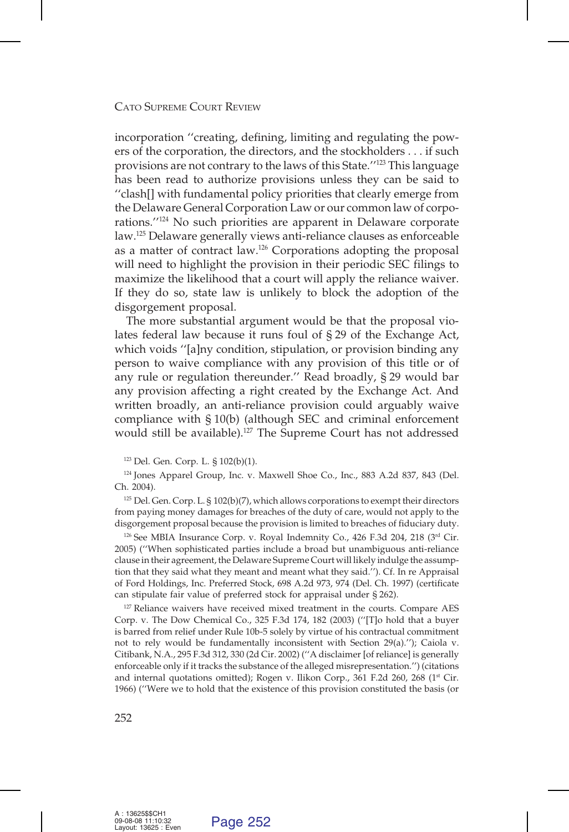incorporation ''creating, defining, limiting and regulating the powers of the corporation, the directors, and the stockholders . . . if such provisions are not contrary to the laws of this State.''123 This language has been read to authorize provisions unless they can be said to ''clash[] with fundamental policy priorities that clearly emerge from the Delaware General Corporation Law or our common law of corporations.''124 No such priorities are apparent in Delaware corporate law.125 Delaware generally views anti-reliance clauses as enforceable as a matter of contract law.126 Corporations adopting the proposal will need to highlight the provision in their periodic SEC filings to maximize the likelihood that a court will apply the reliance waiver. If they do so, state law is unlikely to block the adoption of the disgorgement proposal.

The more substantial argument would be that the proposal violates federal law because it runs foul of § 29 of the Exchange Act, which voids ''[a]ny condition, stipulation, or provision binding any person to waive compliance with any provision of this title or of any rule or regulation thereunder.'' Read broadly, § 29 would bar any provision affecting a right created by the Exchange Act. And written broadly, an anti-reliance provision could arguably waive compliance with § 10(b) (although SEC and criminal enforcement would still be available).<sup>127</sup> The Supreme Court has not addressed

<sup>123</sup> Del. Gen. Corp. L. § 102(b)(1).

124 Jones Apparel Group, Inc. v. Maxwell Shoe Co., Inc., 883 A.2d 837, 843 (Del. Ch. 2004).

 $125$  Del. Gen. Corp. L. § 102(b)(7), which allows corporations to exempt their directors from paying money damages for breaches of the duty of care, would not apply to the disgorgement proposal because the provision is limited to breaches of fiduciary duty.

 $126$  See MBIA Insurance Corp. v. Royal Indemnity Co., 426 F.3d 204, 218 ( $3<sup>rd</sup>$  Cir. 2005) (''When sophisticated parties include a broad but unambiguous anti-reliance clause in their agreement, the Delaware Supreme Court will likely indulge the assumption that they said what they meant and meant what they said.''). Cf. In re Appraisal of Ford Holdings, Inc. Preferred Stock, 698 A.2d 973, 974 (Del. Ch. 1997) (certificate can stipulate fair value of preferred stock for appraisal under § 262).

<sup>127</sup> Reliance waivers have received mixed treatment in the courts. Compare AES Corp. v. The Dow Chemical Co., 325 F.3d 174, 182 (2003) (''[T]o hold that a buyer is barred from relief under Rule 10b-5 solely by virtue of his contractual commitment not to rely would be fundamentally inconsistent with Section 29(a).''); Caiola v. Citibank, N.A., 295 F.3d 312, 330 (2d Cir. 2002) (''A disclaimer [of reliance] is generally enforceable only if it tracks the substance of the alleged misrepresentation.'') (citations and internal quotations omitted); Rogen v. Ilikon Corp., 361 F.2d 260, 268 ( $1<sup>st</sup>$  Cir. 1966) (''Were we to hold that the existence of this provision constituted the basis (or

252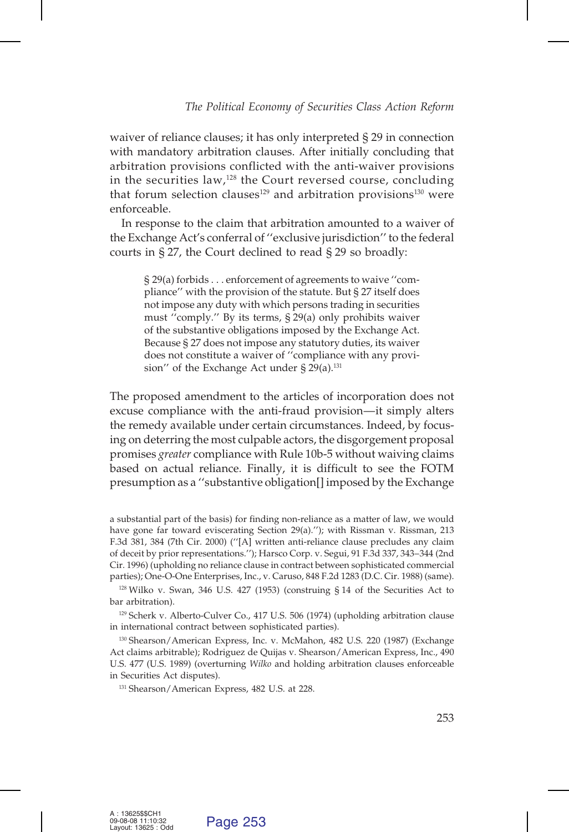waiver of reliance clauses; it has only interpreted § 29 in connection with mandatory arbitration clauses. After initially concluding that arbitration provisions conflicted with the anti-waiver provisions in the securities law, $128$  the Court reversed course, concluding that forum selection clauses<sup>129</sup> and arbitration provisions<sup>130</sup> were enforceable.

In response to the claim that arbitration amounted to a waiver of the Exchange Act's conferral of ''exclusive jurisdiction'' to the federal courts in § 27, the Court declined to read § 29 so broadly:

§ 29(a) forbids . . . enforcement of agreements to waive ''compliance'' with the provision of the statute. But § 27 itself does not impose any duty with which persons trading in securities must ''comply.'' By its terms, § 29(a) only prohibits waiver of the substantive obligations imposed by the Exchange Act. Because § 27 does not impose any statutory duties, its waiver does not constitute a waiver of ''compliance with any provision" of the Exchange Act under  $\S 29(a)$ .<sup>131</sup>

The proposed amendment to the articles of incorporation does not excuse compliance with the anti-fraud provision—it simply alters the remedy available under certain circumstances. Indeed, by focusing on deterring the most culpable actors, the disgorgement proposal promises *greater* compliance with Rule 10b-5 without waiving claims based on actual reliance. Finally, it is difficult to see the FOTM presumption as a ''substantive obligation[] imposed by the Exchange

a substantial part of the basis) for finding non-reliance as a matter of law, we would have gone far toward eviscerating Section 29(a).''); with Rissman v. Rissman, 213 F.3d 381, 384 (7th Cir. 2000) (''[A] written anti-reliance clause precludes any claim of deceit by prior representations.''); Harsco Corp. v. Segui, 91 F.3d 337, 343–344 (2nd Cir. 1996) (upholding no reliance clause in contract between sophisticated commercial parties); One-O-One Enterprises, Inc., v. Caruso, 848 F.2d 1283 (D.C. Cir. 1988) (same).

<sup>128</sup> Wilko v. Swan, 346 U.S. 427 (1953) (construing § 14 of the Securities Act to bar arbitration).

<sup>129</sup> Scherk v. Alberto-Culver Co., 417 U.S. 506 (1974) (upholding arbitration clause in international contract between sophisticated parties).

<sup>130</sup> Shearson/American Express, Inc. v. McMahon, 482 U.S. 220 (1987) (Exchange Act claims arbitrable); Rodriguez de Quijas v. Shearson/American Express, Inc., 490 U.S. 477 (U.S. 1989) (overturning *Wilko* and holding arbitration clauses enforceable in Securities Act disputes).

<sup>131</sup> Shearson/American Express, 482 U.S. at 228.

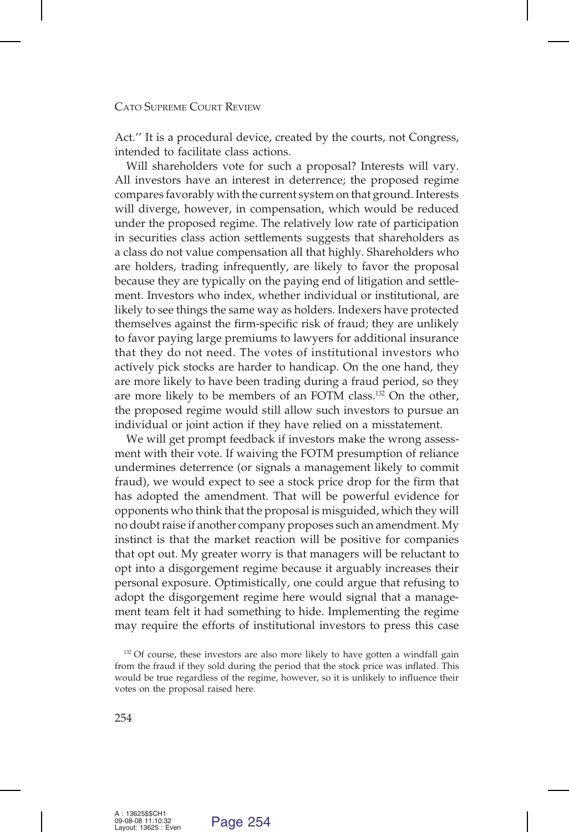Act.'' It is a procedural device, created by the courts, not Congress, intended to facilitate class actions.

Will shareholders vote for such a proposal? Interests will vary. All investors have an interest in deterrence; the proposed regime compares favorably with the current system on that ground. Interests will diverge, however, in compensation, which would be reduced under the proposed regime. The relatively low rate of participation in securities class action settlements suggests that shareholders as a class do not value compensation all that highly. Shareholders who are holders, trading infrequently, are likely to favor the proposal because they are typically on the paying end of litigation and settlement. Investors who index, whether individual or institutional, are likely to see things the same way as holders. Indexers have protected themselves against the firm-specific risk of fraud; they are unlikely to favor paying large premiums to lawyers for additional insurance that they do not need. The votes of institutional investors who actively pick stocks are harder to handicap. On the one hand, they are more likely to have been trading during a fraud period, so they are more likely to be members of an FOTM class.132 On the other, the proposed regime would still allow such investors to pursue an individual or joint action if they have relied on a misstatement.

We will get prompt feedback if investors make the wrong assessment with their vote. If waiving the FOTM presumption of reliance undermines deterrence (or signals a management likely to commit fraud), we would expect to see a stock price drop for the firm that has adopted the amendment. That will be powerful evidence for opponents who think that the proposal is misguided, which they will no doubt raise if another company proposes such an amendment. My instinct is that the market reaction will be positive for companies that opt out. My greater worry is that managers will be reluctant to opt into a disgorgement regime because it arguably increases their personal exposure. Optimistically, one could argue that refusing to adopt the disgorgement regime here would signal that a management team felt it had something to hide. Implementing the regime may require the efforts of institutional investors to press this case

 $132$  Of course, these investors are also more likely to have gotten a windfall gain from the fraud if they sold during the period that the stock price was inflated. This would be true regardless of the regime, however, so it is unlikely to influence their votes on the proposal raised here.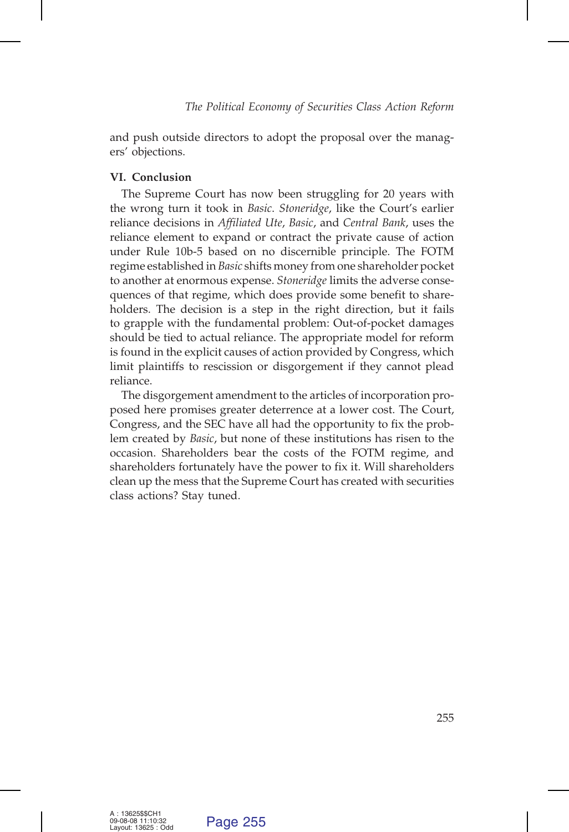and push outside directors to adopt the proposal over the managers' objections.

#### **VI. Conclusion**

The Supreme Court has now been struggling for 20 years with the wrong turn it took in *Basic*. *Stoneridge*, like the Court's earlier reliance decisions in *Affiliated Ute*, *Basic*, and *Central Bank*, uses the reliance element to expand or contract the private cause of action under Rule 10b-5 based on no discernible principle. The FOTM regime established in *Basic* shifts money from one shareholder pocket to another at enormous expense. *Stoneridge* limits the adverse consequences of that regime, which does provide some benefit to shareholders. The decision is a step in the right direction, but it fails to grapple with the fundamental problem: Out-of-pocket damages should be tied to actual reliance. The appropriate model for reform is found in the explicit causes of action provided by Congress, which limit plaintiffs to rescission or disgorgement if they cannot plead reliance.

The disgorgement amendment to the articles of incorporation proposed here promises greater deterrence at a lower cost. The Court, Congress, and the SEC have all had the opportunity to fix the problem created by *Basic*, but none of these institutions has risen to the occasion. Shareholders bear the costs of the FOTM regime, and shareholders fortunately have the power to fix it. Will shareholders clean up the mess that the Supreme Court has created with securities class actions? Stay tuned.

A : 13625\$\$CH1 09-08-08 11:10:32